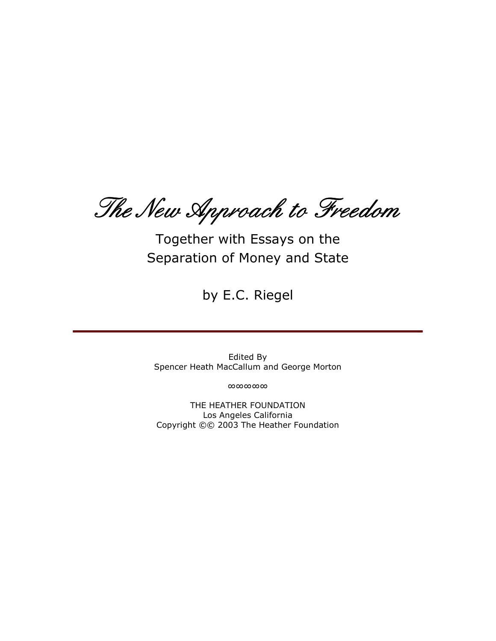The New Approach to Freedom

Together with Essays on the Separation of Money and State

by E.C. Riegel

Edited By Spencer Heath MacCallum and George Morton

∞∞∞∞∞

THE HEATHER FOUNDATION Los Angeles California Copyright ©© 2003 The Heather Foundation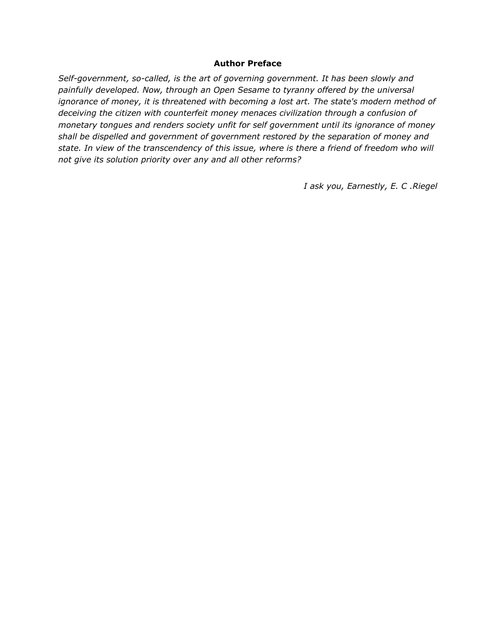## Author Preface

Self-government, so-called, is the art of governing government. It has been slowly and painfully developed. Now, through an Open Sesame to tyranny offered by the universal ignorance of money, it is threatened with becoming a lost art. The state's modern method of deceiving the citizen with counterfeit money menaces civilization through a confusion of monetary tongues and renders society unfit for self government until its ignorance of money shall be dispelled and government of government restored by the separation of money and state. In view of the transcendency of this issue, where is there a friend of freedom who will not give its solution priority over any and all other reforms?

I ask you, Earnestly, E. C .Riegel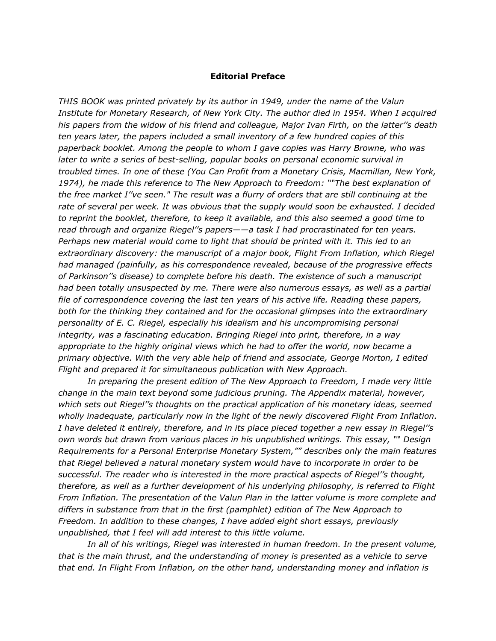### Editorial Preface

THIS BOOK was printed privately by its author in 1949, under the name of the Valun Institute for Monetary Research, of New York City. The author died in 1954. When I acquired his papers from the widow of his friend and colleague, Major Ivan Firth, on the latter''s death ten years later, the papers included a small inventory of a few hundred copies of this paperback booklet. Among the people to whom I gave copies was Harry Browne, who was later to write a series of best-selling, popular books on personal economic survival in troubled times. In one of these (You Can Profit from a Monetary Crisis, Macmillan, New York, 1974), he made this reference to The New Approach to Freedom: ""The best explanation of the free market I''ve seen." The result was a flurry of orders that are still continuing at the rate of several per week. It was obvious that the supply would soon be exhausted. I decided to reprint the booklet, therefore, to keep it available, and this also seemed a good time to read through and organize Riegel''s papers——a task I had procrastinated for ten years. Perhaps new material would come to light that should be printed with it. This led to an extraordinary discovery: the manuscript of a major book, Flight From Inflation, which Riegel had managed (painfully, as his correspondence revealed, because of the progressive effects of Parkinson''s disease) to complete before his death. The existence of such a manuscript had been totally unsuspected by me. There were also numerous essays, as well as a partial file of correspondence covering the last ten years of his active life. Reading these papers, both for the thinking they contained and for the occasional glimpses into the extraordinary personality of E. C. Riegel, especially his idealism and his uncompromising personal integrity, was a fascinating education. Bringing Riegel into print, therefore, in a way appropriate to the highly original views which he had to offer the world, now became a primary objective. With the very able help of friend and associate, George Morton, I edited Flight and prepared it for simultaneous publication with New Approach.

In preparing the present edition of The New Approach to Freedom, I made very little change in the main text beyond some judicious pruning. The Appendix material, however, which sets out Riegel"s thoughts on the practical application of his monetary ideas, seemed wholly inadequate, particularly now in the light of the newly discovered Flight From Inflation. I have deleted it entirely, therefore, and in its place pieced together a new essay in Riegel''s own words but drawn from various places in his unpublished writings. This essay, "" Design Requirements for a Personal Enterprise Monetary System,"" describes only the main features that Riegel believed a natural monetary system would have to incorporate in order to be successful. The reader who is interested in the more practical aspects of Riegel''s thought, therefore, as well as a further development of his underlying philosophy, is referred to Flight From Inflation. The presentation of the Valun Plan in the latter volume is more complete and differs in substance from that in the first (pamphlet) edition of The New Approach to Freedom. In addition to these changes, I have added eight short essays, previously unpublished, that I feel will add interest to this little volume.

In all of his writings, Riegel was interested in human freedom. In the present volume, that is the main thrust, and the understanding of money is presented as a vehicle to serve that end. In Flight From Inflation, on the other hand, understanding money and inflation is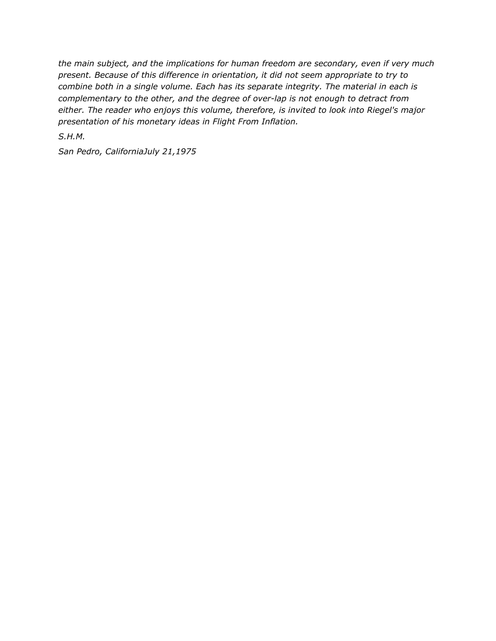the main subject, and the implications for human freedom are secondary, even if very much present. Because of this difference in orientation, it did not seem appropriate to try to combine both in a single volume. Each has its separate integrity. The material in each is complementary to the other, and the degree of over-lap is not enough to detract from either. The reader who enjoys this volume, therefore, is invited to look into Riegel's major presentation of his monetary ideas in Flight From Inflation.

S.H.M.

San Pedro, CaliforniaJuly 21,1975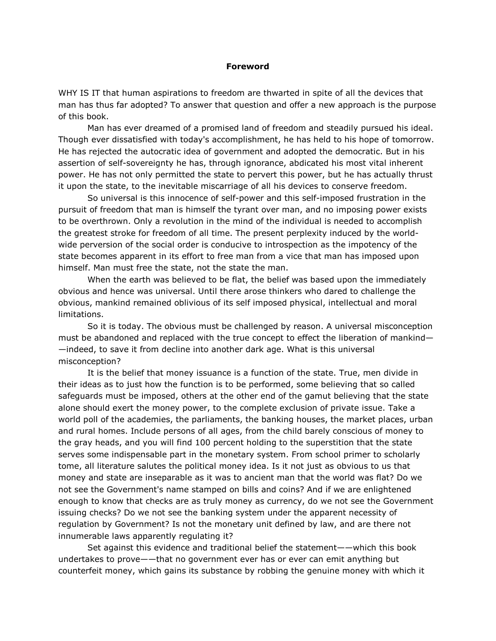### Foreword

WHY IS IT that human aspirations to freedom are thwarted in spite of all the devices that man has thus far adopted? To answer that question and offer a new approach is the purpose of this book.

Man has ever dreamed of a promised land of freedom and steadily pursued his ideal. Though ever dissatisfied with today's accomplishment, he has held to his hope of tomorrow. He has rejected the autocratic idea of government and adopted the democratic. But in his assertion of self-sovereignty he has, through ignorance, abdicated his most vital inherent power. He has not only permitted the state to pervert this power, but he has actually thrust it upon the state, to the inevitable miscarriage of all his devices to conserve freedom.

So universal is this innocence of self-power and this self-imposed frustration in the pursuit of freedom that man is himself the tyrant over man, and no imposing power exists to be overthrown. Only a revolution in the mind of the individual is needed to accomplish the greatest stroke for freedom of all time. The present perplexity induced by the worldwide perversion of the social order is conducive to introspection as the impotency of the state becomes apparent in its effort to free man from a vice that man has imposed upon himself. Man must free the state, not the state the man.

When the earth was believed to be flat, the belief was based upon the immediately obvious and hence was universal. Until there arose thinkers who dared to challenge the obvious, mankind remained oblivious of its self imposed physical, intellectual and moral limitations.

So it is today. The obvious must be challenged by reason. A universal misconception must be abandoned and replaced with the true concept to effect the liberation of mankind— —indeed, to save it from decline into another dark age. What is this universal misconception?

It is the belief that money issuance is a function of the state. True, men divide in their ideas as to just how the function is to be performed, some believing that so called safeguards must be imposed, others at the other end of the gamut believing that the state alone should exert the money power, to the complete exclusion of private issue. Take a world poll of the academies, the parliaments, the banking houses, the market places, urban and rural homes. Include persons of all ages, from the child barely conscious of money to the gray heads, and you will find 100 percent holding to the superstition that the state serves some indispensable part in the monetary system. From school primer to scholarly tome, all literature salutes the political money idea. Is it not just as obvious to us that money and state are inseparable as it was to ancient man that the world was flat? Do we not see the Government's name stamped on bills and coins? And if we are enlightened enough to know that checks are as truly money as currency, do we not see the Government issuing checks? Do we not see the banking system under the apparent necessity of regulation by Government? Is not the monetary unit defined by law, and are there not innumerable laws apparently regulating it?

Set against this evidence and traditional belief the statement——which this book undertakes to prove——that no government ever has or ever can emit anything but counterfeit money, which gains its substance by robbing the genuine money with which it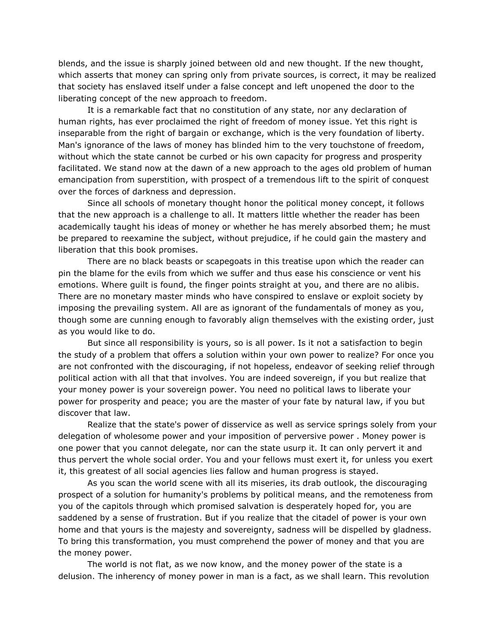blends, and the issue is sharply joined between old and new thought. If the new thought, which asserts that money can spring only from private sources, is correct, it may be realized that society has enslaved itself under a false concept and left unopened the door to the liberating concept of the new approach to freedom.

It is a remarkable fact that no constitution of any state, nor any declaration of human rights, has ever proclaimed the right of freedom of money issue. Yet this right is inseparable from the right of bargain or exchange, which is the very foundation of liberty. Man's ignorance of the laws of money has blinded him to the very touchstone of freedom, without which the state cannot be curbed or his own capacity for progress and prosperity facilitated. We stand now at the dawn of a new approach to the ages old problem of human emancipation from superstition, with prospect of a tremendous lift to the spirit of conquest over the forces of darkness and depression.

Since all schools of monetary thought honor the political money concept, it follows that the new approach is a challenge to all. It matters little whether the reader has been academically taught his ideas of money or whether he has merely absorbed them; he must be prepared to reexamine the subject, without prejudice, if he could gain the mastery and liberation that this book promises.

There are no black beasts or scapegoats in this treatise upon which the reader can pin the blame for the evils from which we suffer and thus ease his conscience or vent his emotions. Where guilt is found, the finger points straight at you, and there are no alibis. There are no monetary master minds who have conspired to enslave or exploit society by imposing the prevailing system. All are as ignorant of the fundamentals of money as you, though some are cunning enough to favorably align themselves with the existing order, just as you would like to do.

But since all responsibility is yours, so is all power. Is it not a satisfaction to begin the study of a problem that offers a solution within your own power to realize? For once you are not confronted with the discouraging, if not hopeless, endeavor of seeking relief through political action with all that that involves. You are indeed sovereign, if you but realize that your money power is your sovereign power. You need no political laws to liberate your power for prosperity and peace; you are the master of your fate by natural law, if you but discover that law.

Realize that the state's power of disservice as well as service springs solely from your delegation of wholesome power and your imposition of perversive power . Money power is one power that you cannot delegate, nor can the state usurp it. It can only pervert it and thus pervert the whole social order. You and your fellows must exert it, for unless you exert it, this greatest of all social agencies lies fallow and human progress is stayed.

As you scan the world scene with all its miseries, its drab outlook, the discouraging prospect of a solution for humanity's problems by political means, and the remoteness from you of the capitols through which promised salvation is desperately hoped for, you are saddened by a sense of frustration. But if you realize that the citadel of power is your own home and that yours is the majesty and sovereignty, sadness will be dispelled by gladness. To bring this transformation, you must comprehend the power of money and that you are the money power.

The world is not flat, as we now know, and the money power of the state is a delusion. The inherency of money power in man is a fact, as we shall learn. This revolution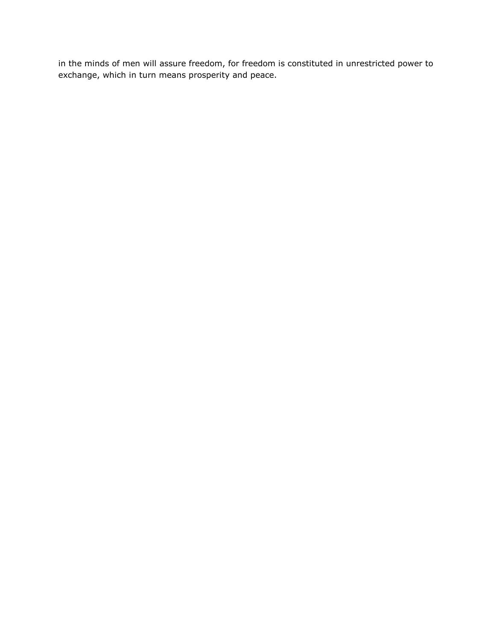in the minds of men will assure freedom, for freedom is constituted in unrestricted power to exchange, which in turn means prosperity and peace.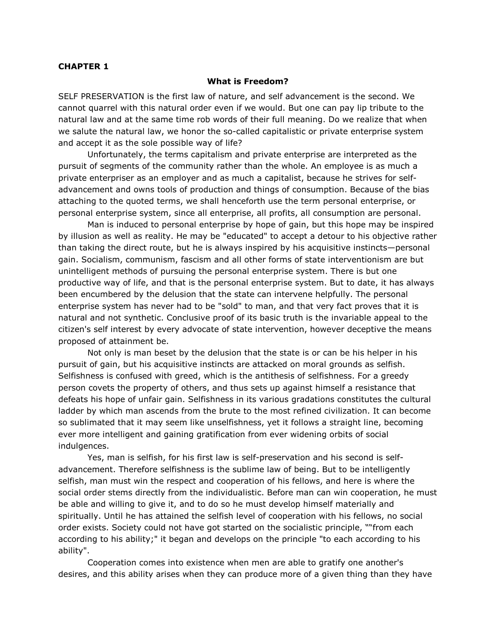# CHAPTER 1

#### What is Freedom?

SELF PRESERVATION is the first law of nature, and self advancement is the second. We cannot quarrel with this natural order even if we would. But one can pay lip tribute to the natural law and at the same time rob words of their full meaning. Do we realize that when we salute the natural law, we honor the so-called capitalistic or private enterprise system and accept it as the sole possible way of life?

Unfortunately, the terms capitalism and private enterprise are interpreted as the pursuit of segments of the community rather than the whole. An employee is as much a private enterpriser as an employer and as much a capitalist, because he strives for selfadvancement and owns tools of production and things of consumption. Because of the bias attaching to the quoted terms, we shall henceforth use the term personal enterprise, or personal enterprise system, since all enterprise, all profits, all consumption are personal.

Man is induced to personal enterprise by hope of gain, but this hope may be inspired by illusion as well as reality. He may be "educated" to accept a detour to his objective rather than taking the direct route, but he is always inspired by his acquisitive instincts—personal gain. Socialism, communism, fascism and all other forms of state interventionism are but unintelligent methods of pursuing the personal enterprise system. There is but one productive way of life, and that is the personal enterprise system. But to date, it has always been encumbered by the delusion that the state can intervene helpfully. The personal enterprise system has never had to be "sold" to man, and that very fact proves that it is natural and not synthetic. Conclusive proof of its basic truth is the invariable appeal to the citizen's self interest by every advocate of state intervention, however deceptive the means proposed of attainment be.

Not only is man beset by the delusion that the state is or can be his helper in his pursuit of gain, but his acquisitive instincts are attacked on moral grounds as selfish. Selfishness is confused with greed, which is the antithesis of selfishness. For a greedy person covets the property of others, and thus sets up against himself a resistance that defeats his hope of unfair gain. Selfishness in its various gradations constitutes the cultural ladder by which man ascends from the brute to the most refined civilization. It can become so sublimated that it may seem like unselfishness, yet it follows a straight line, becoming ever more intelligent and gaining gratification from ever widening orbits of social indulgences.

Yes, man is selfish, for his first law is self-preservation and his second is selfadvancement. Therefore selfishness is the sublime law of being. But to be intelligently selfish, man must win the respect and cooperation of his fellows, and here is where the social order stems directly from the individualistic. Before man can win cooperation, he must be able and willing to give it, and to do so he must develop himself materially and spiritually. Until he has attained the selfish level of cooperation with his fellows, no social order exists. Society could not have got started on the socialistic principle, ""from each according to his ability;" it began and develops on the principle "to each according to his ability".

Cooperation comes into existence when men are able to gratify one another's desires, and this ability arises when they can produce more of a given thing than they have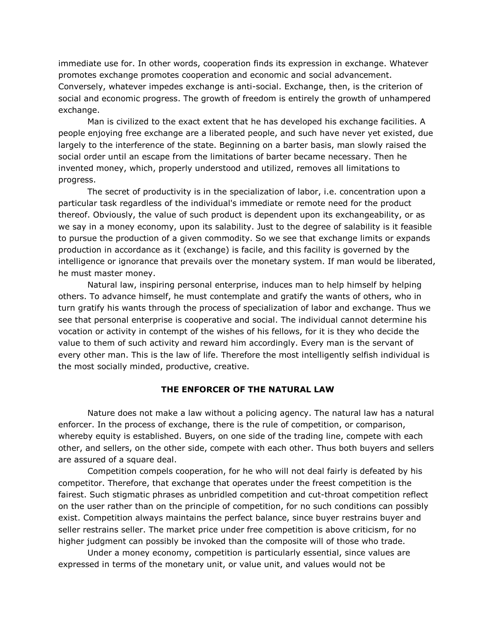immediate use for. In other words, cooperation finds its expression in exchange. Whatever promotes exchange promotes cooperation and economic and social advancement. Conversely, whatever impedes exchange is anti-social. Exchange, then, is the criterion of social and economic progress. The growth of freedom is entirely the growth of unhampered exchange.

Man is civilized to the exact extent that he has developed his exchange facilities. A people enjoying free exchange are a liberated people, and such have never yet existed, due largely to the interference of the state. Beginning on a barter basis, man slowly raised the social order until an escape from the limitations of barter became necessary. Then he invented money, which, properly understood and utilized, removes all limitations to progress.

The secret of productivity is in the specialization of labor, i.e. concentration upon a particular task regardless of the individual's immediate or remote need for the product thereof. Obviously, the value of such product is dependent upon its exchangeability, or as we say in a money economy, upon its salability. Just to the degree of salability is it feasible to pursue the production of a given commodity. So we see that exchange limits or expands production in accordance as it (exchange) is facile, and this facility is governed by the intelligence or ignorance that prevails over the monetary system. If man would be liberated, he must master money.

Natural law, inspiring personal enterprise, induces man to help himself by helping others. To advance himself, he must contemplate and gratify the wants of others, who in turn gratify his wants through the process of specialization of labor and exchange. Thus we see that personal enterprise is cooperative and social. The individual cannot determine his vocation or activity in contempt of the wishes of his fellows, for it is they who decide the value to them of such activity and reward him accordingly. Every man is the servant of every other man. This is the law of life. Therefore the most intelligently selfish individual is the most socially minded, productive, creative.

## THE ENFORCER OF THE NATURAL LAW

Nature does not make a law without a policing agency. The natural law has a natural enforcer. In the process of exchange, there is the rule of competition, or comparison, whereby equity is established. Buyers, on one side of the trading line, compete with each other, and sellers, on the other side, compete with each other. Thus both buyers and sellers are assured of a square deal.

Competition compels cooperation, for he who will not deal fairly is defeated by his competitor. Therefore, that exchange that operates under the freest competition is the fairest. Such stigmatic phrases as unbridled competition and cut-throat competition reflect on the user rather than on the principle of competition, for no such conditions can possibly exist. Competition always maintains the perfect balance, since buyer restrains buyer and seller restrains seller. The market price under free competition is above criticism, for no higher judgment can possibly be invoked than the composite will of those who trade.

Under a money economy, competition is particularly essential, since values are expressed in terms of the monetary unit, or value unit, and values would not be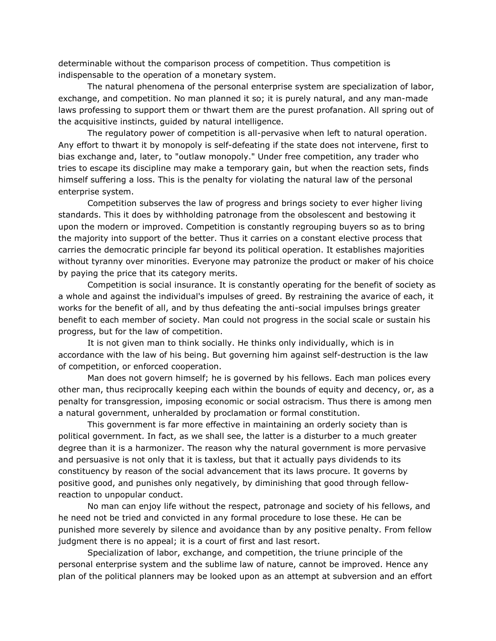determinable without the comparison process of competition. Thus competition is indispensable to the operation of a monetary system.

The natural phenomena of the personal enterprise system are specialization of labor, exchange, and competition. No man planned it so; it is purely natural, and any man-made laws professing to support them or thwart them are the purest profanation. All spring out of the acquisitive instincts, guided by natural intelligence.

The regulatory power of competition is all-pervasive when left to natural operation. Any effort to thwart it by monopoly is self-defeating if the state does not intervene, first to bias exchange and, later, to "outlaw monopoly." Under free competition, any trader who tries to escape its discipline may make a temporary gain, but when the reaction sets, finds himself suffering a loss. This is the penalty for violating the natural law of the personal enterprise system.

Competition subserves the law of progress and brings society to ever higher living standards. This it does by withholding patronage from the obsolescent and bestowing it upon the modern or improved. Competition is constantly regrouping buyers so as to bring the majority into support of the better. Thus it carries on a constant elective process that carries the democratic principle far beyond its political operation. It establishes majorities without tyranny over minorities. Everyone may patronize the product or maker of his choice by paying the price that its category merits.

Competition is social insurance. It is constantly operating for the benefit of society as a whole and against the individual's impulses of greed. By restraining the avarice of each, it works for the benefit of all, and by thus defeating the anti-social impulses brings greater benefit to each member of society. Man could not progress in the social scale or sustain his progress, but for the law of competition.

It is not given man to think socially. He thinks only individually, which is in accordance with the law of his being. But governing him against self-destruction is the law of competition, or enforced cooperation.

Man does not govern himself; he is governed by his fellows. Each man polices every other man, thus reciprocally keeping each within the bounds of equity and decency, or, as a penalty for transgression, imposing economic or social ostracism. Thus there is among men a natural government, unheralded by proclamation or formal constitution.

This government is far more effective in maintaining an orderly society than is political government. In fact, as we shall see, the latter is a disturber to a much greater degree than it is a harmonizer. The reason why the natural government is more pervasive and persuasive is not only that it is taxless, but that it actually pays dividends to its constituency by reason of the social advancement that its laws procure. It governs by positive good, and punishes only negatively, by diminishing that good through fellowreaction to unpopular conduct.

No man can enjoy life without the respect, patronage and society of his fellows, and he need not be tried and convicted in any formal procedure to lose these. He can be punished more severely by silence and avoidance than by any positive penalty. From fellow judgment there is no appeal; it is a court of first and last resort.

Specialization of labor, exchange, and competition, the triune principle of the personal enterprise system and the sublime law of nature, cannot be improved. Hence any plan of the political planners may be looked upon as an attempt at subversion and an effort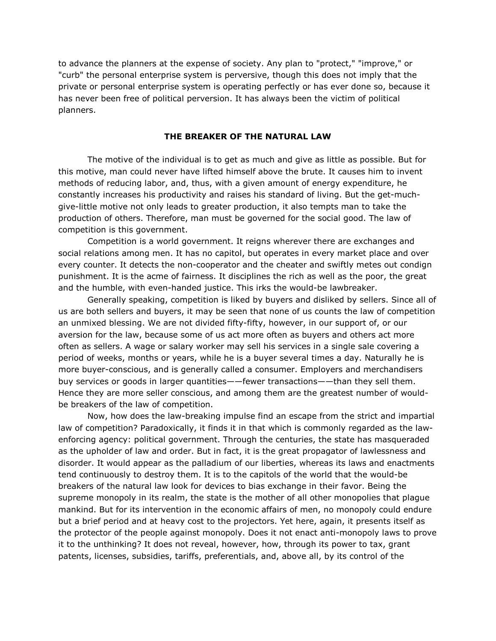to advance the planners at the expense of society. Any plan to "protect," "improve," or "curb" the personal enterprise system is perversive, though this does not imply that the private or personal enterprise system is operating perfectly or has ever done so, because it has never been free of political perversion. It has always been the victim of political planners.

### THE BREAKER OF THE NATURAL LAW

The motive of the individual is to get as much and give as little as possible. But for this motive, man could never have lifted himself above the brute. It causes him to invent methods of reducing labor, and, thus, with a given amount of energy expenditure, he constantly increases his productivity and raises his standard of living. But the get-muchgive-little motive not only leads to greater production, it also tempts man to take the production of others. Therefore, man must be governed for the social good. The law of competition is this government.

Competition is a world government. It reigns wherever there are exchanges and social relations among men. It has no capitol, but operates in every market place and over every counter. It detects the non-cooperator and the cheater and swiftly metes out condign punishment. It is the acme of fairness. It disciplines the rich as well as the poor, the great and the humble, with even-handed justice. This irks the would-be lawbreaker.

Generally speaking, competition is liked by buyers and disliked by sellers. Since all of us are both sellers and buyers, it may be seen that none of us counts the law of competition an unmixed blessing. We are not divided fifty-fifty, however, in our support of, or our aversion for the law, because some of us act more often as buyers and others act more often as sellers. A wage or salary worker may sell his services in a single sale covering a period of weeks, months or years, while he is a buyer several times a day. Naturally he is more buyer-conscious, and is generally called a consumer. Employers and merchandisers buy services or goods in larger quantities——fewer transactions——than they sell them. Hence they are more seller conscious, and among them are the greatest number of wouldbe breakers of the law of competition.

Now, how does the law-breaking impulse find an escape from the strict and impartial law of competition? Paradoxically, it finds it in that which is commonly regarded as the lawenforcing agency: political government. Through the centuries, the state has masqueraded as the upholder of law and order. But in fact, it is the great propagator of lawlessness and disorder. It would appear as the palladium of our liberties, whereas its laws and enactments tend continuously to destroy them. It is to the capitols of the world that the would-be breakers of the natural law look for devices to bias exchange in their favor. Being the supreme monopoly in its realm, the state is the mother of all other monopolies that plague mankind. But for its intervention in the economic affairs of men, no monopoly could endure but a brief period and at heavy cost to the projectors. Yet here, again, it presents itself as the protector of the people against monopoly. Does it not enact anti-monopoly laws to prove it to the unthinking? It does not reveal, however, how, through its power to tax, grant patents, licenses, subsidies, tariffs, preferentials, and, above all, by its control of the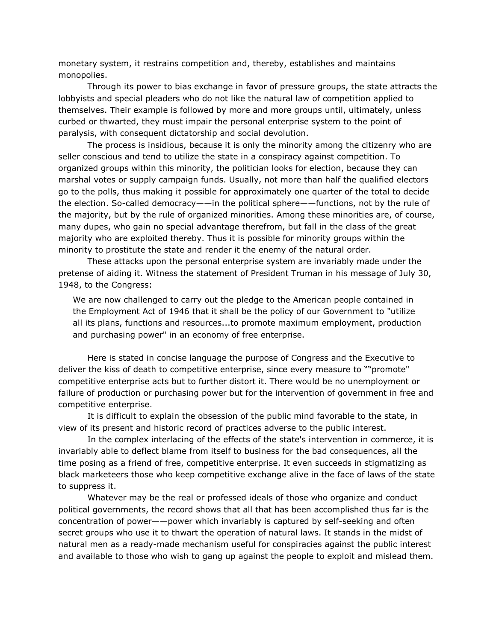monetary system, it restrains competition and, thereby, establishes and maintains monopolies.

Through its power to bias exchange in favor of pressure groups, the state attracts the lobbyists and special pleaders who do not like the natural law of competition applied to themselves. Their example is followed by more and more groups until, ultimately, unless curbed or thwarted, they must impair the personal enterprise system to the point of paralysis, with consequent dictatorship and social devolution.

The process is insidious, because it is only the minority among the citizenry who are seller conscious and tend to utilize the state in a conspiracy against competition. To organized groups within this minority, the politician looks for election, because they can marshal votes or supply campaign funds. Usually, not more than half the qualified electors go to the polls, thus making it possible for approximately one quarter of the total to decide the election. So-called democracy——in the political sphere——functions, not by the rule of the majority, but by the rule of organized minorities. Among these minorities are, of course, many dupes, who gain no special advantage therefrom, but fall in the class of the great majority who are exploited thereby. Thus it is possible for minority groups within the minority to prostitute the state and render it the enemy of the natural order.

These attacks upon the personal enterprise system are invariably made under the pretense of aiding it. Witness the statement of President Truman in his message of July 30, 1948, to the Congress:

We are now challenged to carry out the pledge to the American people contained in the Employment Act of 1946 that it shall be the policy of our Government to "utilize all its plans, functions and resources...to promote maximum employment, production and purchasing power" in an economy of free enterprise.

Here is stated in concise language the purpose of Congress and the Executive to deliver the kiss of death to competitive enterprise, since every measure to ""promote" competitive enterprise acts but to further distort it. There would be no unemployment or failure of production or purchasing power but for the intervention of government in free and competitive enterprise.

It is difficult to explain the obsession of the public mind favorable to the state, in view of its present and historic record of practices adverse to the public interest.

In the complex interlacing of the effects of the state's intervention in commerce, it is invariably able to deflect blame from itself to business for the bad consequences, all the time posing as a friend of free, competitive enterprise. It even succeeds in stigmatizing as black marketeers those who keep competitive exchange alive in the face of laws of the state to suppress it.

Whatever may be the real or professed ideals of those who organize and conduct political governments, the record shows that all that has been accomplished thus far is the concentration of power——power which invariably is captured by self-seeking and often secret groups who use it to thwart the operation of natural laws. It stands in the midst of natural men as a ready-made mechanism useful for conspiracies against the public interest and available to those who wish to gang up against the people to exploit and mislead them.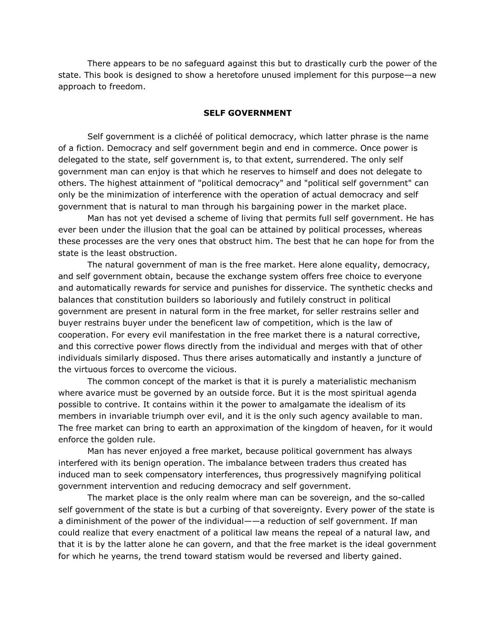There appears to be no safeguard against this but to drastically curb the power of the state. This book is designed to show a heretofore unused implement for this purpose—a new approach to freedom.

### SELF GOVERNMENT

Self government is a clichéé of political democracy, which latter phrase is the name of a fiction. Democracy and self government begin and end in commerce. Once power is delegated to the state, self government is, to that extent, surrendered. The only self government man can enjoy is that which he reserves to himself and does not delegate to others. The highest attainment of "political democracy" and "political self government" can only be the minimization of interference with the operation of actual democracy and self government that is natural to man through his bargaining power in the market place.

Man has not yet devised a scheme of living that permits full self government. He has ever been under the illusion that the goal can be attained by political processes, whereas these processes are the very ones that obstruct him. The best that he can hope for from the state is the least obstruction.

The natural government of man is the free market. Here alone equality, democracy, and self government obtain, because the exchange system offers free choice to everyone and automatically rewards for service and punishes for disservice. The synthetic checks and balances that constitution builders so laboriously and futilely construct in political government are present in natural form in the free market, for seller restrains seller and buyer restrains buyer under the beneficent law of competition, which is the law of cooperation. For every evil manifestation in the free market there is a natural corrective, and this corrective power flows directly from the individual and merges with that of other individuals similarly disposed. Thus there arises automatically and instantly a juncture of the virtuous forces to overcome the vicious.

The common concept of the market is that it is purely a materialistic mechanism where avarice must be governed by an outside force. But it is the most spiritual agenda possible to contrive. It contains within it the power to amalgamate the idealism of its members in invariable triumph over evil, and it is the only such agency available to man. The free market can bring to earth an approximation of the kingdom of heaven, for it would enforce the golden rule.

Man has never enjoyed a free market, because political government has always interfered with its benign operation. The imbalance between traders thus created has induced man to seek compensatory interferences, thus progressively magnifying political government intervention and reducing democracy and self government.

The market place is the only realm where man can be sovereign, and the so-called self government of the state is but a curbing of that sovereignty. Every power of the state is a diminishment of the power of the individual——a reduction of self government. If man could realize that every enactment of a political law means the repeal of a natural law, and that it is by the latter alone he can govern, and that the free market is the ideal government for which he yearns, the trend toward statism would be reversed and liberty gained.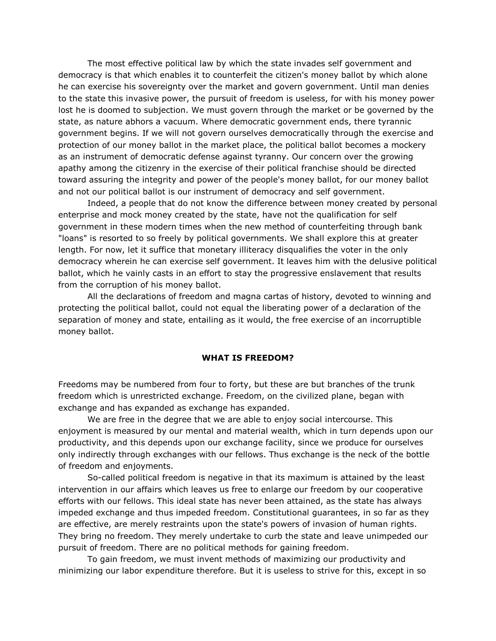The most effective political law by which the state invades self government and democracy is that which enables it to counterfeit the citizen's money ballot by which alone he can exercise his sovereignty over the market and govern government. Until man denies to the state this invasive power, the pursuit of freedom is useless, for with his money power lost he is doomed to subjection. We must govern through the market or be governed by the state, as nature abhors a vacuum. Where democratic government ends, there tyrannic government begins. If we will not govern ourselves democratically through the exercise and protection of our money ballot in the market place, the political ballot becomes a mockery as an instrument of democratic defense against tyranny. Our concern over the growing apathy among the citizenry in the exercise of their political franchise should be directed toward assuring the integrity and power of the people's money ballot, for our money ballot and not our political ballot is our instrument of democracy and self government.

Indeed, a people that do not know the difference between money created by personal enterprise and mock money created by the state, have not the qualification for self government in these modern times when the new method of counterfeiting through bank "loans" is resorted to so freely by political governments. We shall explore this at greater length. For now, let it suffice that monetary illiteracy disqualifies the voter in the only democracy wherein he can exercise self government. It leaves him with the delusive political ballot, which he vainly casts in an effort to stay the progressive enslavement that results from the corruption of his money ballot.

All the declarations of freedom and magna cartas of history, devoted to winning and protecting the political ballot, could not equal the liberating power of a declaration of the separation of money and state, entailing as it would, the free exercise of an incorruptible money ballot.

## WHAT IS FREEDOM?

Freedoms may be numbered from four to forty, but these are but branches of the trunk freedom which is unrestricted exchange. Freedom, on the civilized plane, began with exchange and has expanded as exchange has expanded.

We are free in the degree that we are able to enjoy social intercourse. This enjoyment is measured by our mental and material wealth, which in turn depends upon our productivity, and this depends upon our exchange facility, since we produce for ourselves only indirectly through exchanges with our fellows. Thus exchange is the neck of the bottle of freedom and enjoyments.

So-called political freedom is negative in that its maximum is attained by the least intervention in our affairs which leaves us free to enlarge our freedom by our cooperative efforts with our fellows. This ideal state has never been attained, as the state has always impeded exchange and thus impeded freedom. Constitutional guarantees, in so far as they are effective, are merely restraints upon the state's powers of invasion of human rights. They bring no freedom. They merely undertake to curb the state and leave unimpeded our pursuit of freedom. There are no political methods for gaining freedom.

To gain freedom, we must invent methods of maximizing our productivity and minimizing our labor expenditure therefore. But it is useless to strive for this, except in so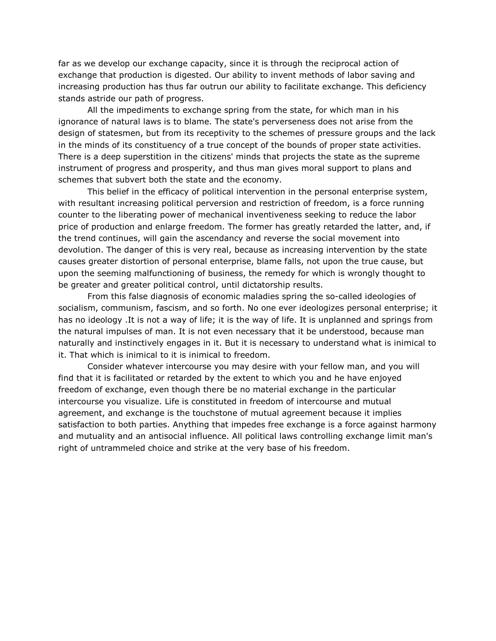far as we develop our exchange capacity, since it is through the reciprocal action of exchange that production is digested. Our ability to invent methods of labor saving and increasing production has thus far outrun our ability to facilitate exchange. This deficiency stands astride our path of progress.

All the impediments to exchange spring from the state, for which man in his ignorance of natural laws is to blame. The state's perverseness does not arise from the design of statesmen, but from its receptivity to the schemes of pressure groups and the lack in the minds of its constituency of a true concept of the bounds of proper state activities. There is a deep superstition in the citizens' minds that projects the state as the supreme instrument of progress and prosperity, and thus man gives moral support to plans and schemes that subvert both the state and the economy.

This belief in the efficacy of political intervention in the personal enterprise system, with resultant increasing political perversion and restriction of freedom, is a force running counter to the liberating power of mechanical inventiveness seeking to reduce the labor price of production and enlarge freedom. The former has greatly retarded the latter, and, if the trend continues, will gain the ascendancy and reverse the social movement into devolution. The danger of this is very real, because as increasing intervention by the state causes greater distortion of personal enterprise, blame falls, not upon the true cause, but upon the seeming malfunctioning of business, the remedy for which is wrongly thought to be greater and greater political control, until dictatorship results.

From this false diagnosis of economic maladies spring the so-called ideologies of socialism, communism, fascism, and so forth. No one ever ideologizes personal enterprise; it has no ideology .It is not a way of life; it is the way of life. It is unplanned and springs from the natural impulses of man. It is not even necessary that it be understood, because man naturally and instinctively engages in it. But it is necessary to understand what is inimical to it. That which is inimical to it is inimical to freedom.

Consider whatever intercourse you may desire with your fellow man, and you will find that it is facilitated or retarded by the extent to which you and he have enjoyed freedom of exchange, even though there be no material exchange in the particular intercourse you visualize. Life is constituted in freedom of intercourse and mutual agreement, and exchange is the touchstone of mutual agreement because it implies satisfaction to both parties. Anything that impedes free exchange is a force against harmony and mutuality and an antisocial influence. All political laws controlling exchange limit man's right of untrammeled choice and strike at the very base of his freedom.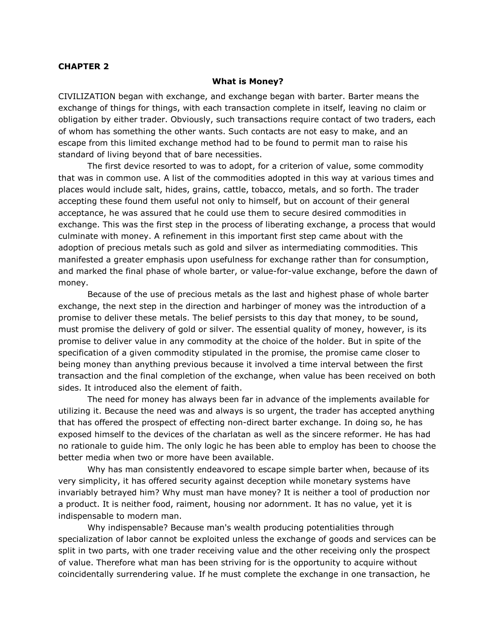## CHAPTER 2

### What is Money?

CIVILIZATION began with exchange, and exchange began with barter. Barter means the exchange of things for things, with each transaction complete in itself, leaving no claim or obligation by either trader. Obviously, such transactions require contact of two traders, each of whom has something the other wants. Such contacts are not easy to make, and an escape from this limited exchange method had to be found to permit man to raise his standard of living beyond that of bare necessities.

The first device resorted to was to adopt, for a criterion of value, some commodity that was in common use. A list of the commodities adopted in this way at various times and places would include salt, hides, grains, cattle, tobacco, metals, and so forth. The trader accepting these found them useful not only to himself, but on account of their general acceptance, he was assured that he could use them to secure desired commodities in exchange. This was the first step in the process of liberating exchange, a process that would culminate with money. A refinement in this important first step came about with the adoption of precious metals such as gold and silver as intermediating commodities. This manifested a greater emphasis upon usefulness for exchange rather than for consumption, and marked the final phase of whole barter, or value-for-value exchange, before the dawn of money.

Because of the use of precious metals as the last and highest phase of whole barter exchange, the next step in the direction and harbinger of money was the introduction of a promise to deliver these metals. The belief persists to this day that money, to be sound, must promise the delivery of gold or silver. The essential quality of money, however, is its promise to deliver value in any commodity at the choice of the holder. But in spite of the specification of a given commodity stipulated in the promise, the promise came closer to being money than anything previous because it involved a time interval between the first transaction and the final completion of the exchange, when value has been received on both sides. It introduced also the element of faith.

The need for money has always been far in advance of the implements available for utilizing it. Because the need was and always is so urgent, the trader has accepted anything that has offered the prospect of effecting non-direct barter exchange. In doing so, he has exposed himself to the devices of the charlatan as well as the sincere reformer. He has had no rationale to guide him. The only logic he has been able to employ has been to choose the better media when two or more have been available.

Why has man consistently endeavored to escape simple barter when, because of its very simplicity, it has offered security against deception while monetary systems have invariably betrayed him? Why must man have money? It is neither a tool of production nor a product. It is neither food, raiment, housing nor adornment. It has no value, yet it is indispensable to modern man.

Why indispensable? Because man's wealth producing potentialities through specialization of labor cannot be exploited unless the exchange of goods and services can be split in two parts, with one trader receiving value and the other receiving only the prospect of value. Therefore what man has been striving for is the opportunity to acquire without coincidentally surrendering value. If he must complete the exchange in one transaction, he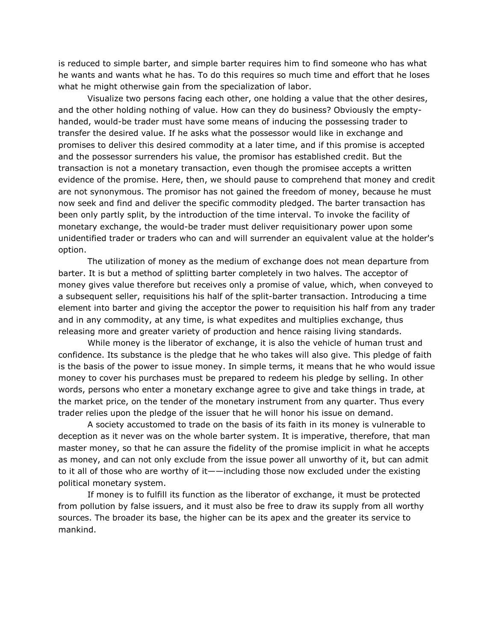is reduced to simple barter, and simple barter requires him to find someone who has what he wants and wants what he has. To do this requires so much time and effort that he loses what he might otherwise gain from the specialization of labor.

Visualize two persons facing each other, one holding a value that the other desires, and the other holding nothing of value. How can they do business? Obviously the emptyhanded, would-be trader must have some means of inducing the possessing trader to transfer the desired value. If he asks what the possessor would like in exchange and promises to deliver this desired commodity at a later time, and if this promise is accepted and the possessor surrenders his value, the promisor has established credit. But the transaction is not a monetary transaction, even though the promisee accepts a written evidence of the promise. Here, then, we should pause to comprehend that money and credit are not synonymous. The promisor has not gained the freedom of money, because he must now seek and find and deliver the specific commodity pledged. The barter transaction has been only partly split, by the introduction of the time interval. To invoke the facility of monetary exchange, the would-be trader must deliver requisitionary power upon some unidentified trader or traders who can and will surrender an equivalent value at the holder's option.

The utilization of money as the medium of exchange does not mean departure from barter. It is but a method of splitting barter completely in two halves. The acceptor of money gives value therefore but receives only a promise of value, which, when conveyed to a subsequent seller, requisitions his half of the split-barter transaction. Introducing a time element into barter and giving the acceptor the power to requisition his half from any trader and in any commodity, at any time, is what expedites and multiplies exchange, thus releasing more and greater variety of production and hence raising living standards.

While money is the liberator of exchange, it is also the vehicle of human trust and confidence. Its substance is the pledge that he who takes will also give. This pledge of faith is the basis of the power to issue money. In simple terms, it means that he who would issue money to cover his purchases must be prepared to redeem his pledge by selling. In other words, persons who enter a monetary exchange agree to give and take things in trade, at the market price, on the tender of the monetary instrument from any quarter. Thus every trader relies upon the pledge of the issuer that he will honor his issue on demand.

A society accustomed to trade on the basis of its faith in its money is vulnerable to deception as it never was on the whole barter system. It is imperative, therefore, that man master money, so that he can assure the fidelity of the promise implicit in what he accepts as money, and can not only exclude from the issue power all unworthy of it, but can admit to it all of those who are worthy of it——including those now excluded under the existing political monetary system.

If money is to fulfill its function as the liberator of exchange, it must be protected from pollution by false issuers, and it must also be free to draw its supply from all worthy sources. The broader its base, the higher can be its apex and the greater its service to mankind.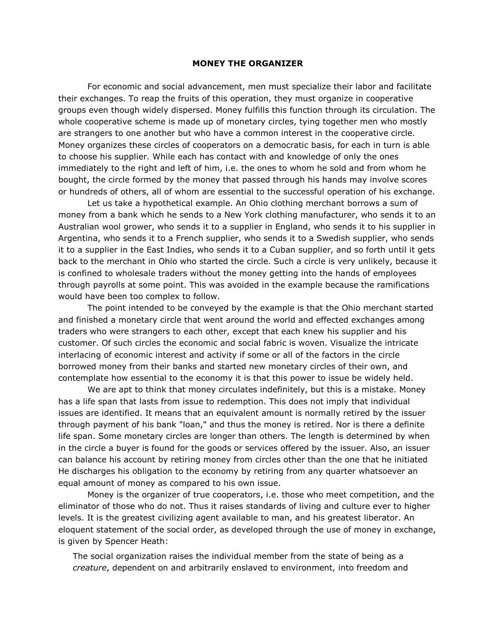## MONEY THE ORGANIZER

For economic and social advancement, men must specialize their labor and facilitate their exchanges. To reap the fruits of this operation, they must organize in cooperative groups even though widely dispersed. Money fulfills this function through its circulation. The whole cooperative scheme is made up of monetary circles, tying together men who mostly are strangers to one another but who have a common interest in the cooperative circle. Money organizes these circles of cooperators on a democratic basis, for each in turn is able to choose his supplier. While each has contact with and knowledge of only the ones immediately to the right and left of him, i.e. the ones to whom he sold and from whom he bought, the circle formed by the money that passed through his hands may involve scores or hundreds of others, all of whom are essential to the successful operation of his exchange.

Let us take a hypothetical example. An Ohio clothing merchant borrows a sum of money from a bank which he sends to a New York clothing manufacturer, who sends it to an Australian wool grower, who sends it to a supplier in England, who sends it to his supplier in Argentina, who sends it to a French supplier, who sends it to a Swedish supplier, who sends it to a supplier in the East Indies, who sends it to a Cuban supplier, and so forth until it gets back to the merchant in Ohio who started the circle. Such a circle is very unlikely, because it is confined to wholesale traders without the money getting into the hands of employees through payrolls at some point. This was avoided in the example because the ramifications would have been too complex to follow.

The point intended to be conveyed by the example is that the Ohio merchant started and finished a monetary circle that went around the world and effected exchanges among traders who were strangers to each other, except that each knew his supplier and his customer. Of such circles the economic and social fabric is woven. Visualize the intricate interlacing of economic interest and activity if some or all of the factors in the circle borrowed money from their banks and started new monetary circles of their own, and contemplate how essential to the economy it is that this power to issue be widely held.

We are apt to think that money circulates indefinitely, but this is a mistake. Money has a life span that lasts from issue to redemption. This does not imply that individual issues are identified. It means that an equivalent amount is normally retired by the issuer through payment of his bank "loan," and thus the money is retired. Nor is there a definite life span. Some monetary circles are longer than others. The length is determined by when in the circle a buyer is found for the goods or services offered by the issuer. Also, an issuer can balance his account by retiring money from circles other than the one that he initiated He discharges his obligation to the economy by retiring from any quarter whatsoever an equal amount of money as compared to his own issue.

Money is the organizer of true cooperators, i.e. those who meet competition, and the eliminator of those who do not. Thus it raises standards of living and culture ever to higher levels. It is the greatest civilizing agent available to man, and his greatest liberator. An eloquent statement of the social order, as developed through the use of money in exchange, is given by Spencer Heath:

The social organization raises the individual member from the state of being as a creature, dependent on and arbitrarily enslaved to environment, into freedom and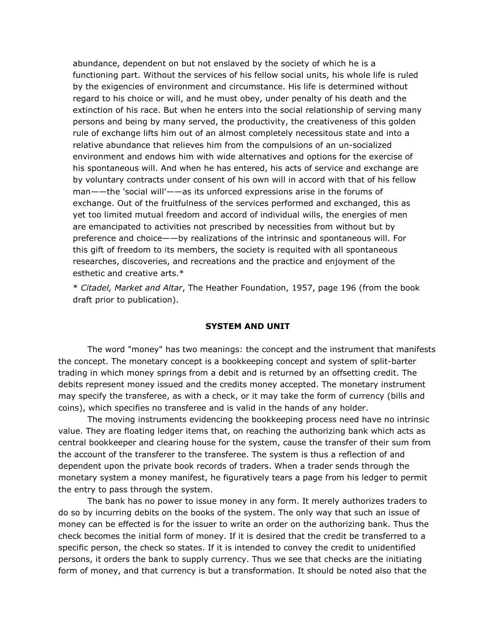abundance, dependent on but not enslaved by the society of which he is a functioning part. Without the services of his fellow social units, his whole life is ruled by the exigencies of environment and circumstance. His life is determined without regard to his choice or will, and he must obey, under penalty of his death and the extinction of his race. But when he enters into the social relationship of serving many persons and being by many served, the productivity, the creativeness of this golden rule of exchange lifts him out of an almost completely necessitous state and into a relative abundance that relieves him from the compulsions of an un-socialized environment and endows him with wide alternatives and options for the exercise of his spontaneous will. And when he has entered, his acts of service and exchange are by voluntary contracts under consent of his own will in accord with that of his fellow man——the 'social will'——as its unforced expressions arise in the forums of exchange. Out of the fruitfulness of the services performed and exchanged, this as yet too limited mutual freedom and accord of individual wills, the energies of men are emancipated to activities not prescribed by necessities from without but by preference and choice——by realizations of the intrinsic and spontaneous will. For this gift of freedom to its members, the society is requited with all spontaneous researches, discoveries, and recreations and the practice and enjoyment of the esthetic and creative arts.\*

\* Citadel, Market and Altar, The Heather Foundation, 1957, page 196 (from the book draft prior to publication).

## SYSTEM AND UNIT

The word "money" has two meanings: the concept and the instrument that manifests the concept. The monetary concept is a bookkeeping concept and system of split-barter trading in which money springs from a debit and is returned by an offsetting credit. The debits represent money issued and the credits money accepted. The monetary instrument may specify the transferee, as with a check, or it may take the form of currency (bills and coins), which specifies no transferee and is valid in the hands of any holder.

The moving instruments evidencing the bookkeeping process need have no intrinsic value. They are floating ledger items that, on reaching the authorizing bank which acts as central bookkeeper and clearing house for the system, cause the transfer of their sum from the account of the transferer to the transferee. The system is thus a reflection of and dependent upon the private book records of traders. When a trader sends through the monetary system a money manifest, he figuratively tears a page from his ledger to permit the entry to pass through the system.

The bank has no power to issue money in any form. It merely authorizes traders to do so by incurring debits on the books of the system. The only way that such an issue of money can be effected is for the issuer to write an order on the authorizing bank. Thus the check becomes the initial form of money. If it is desired that the credit be transferred to a specific person, the check so states. If it is intended to convey the credit to unidentified persons, it orders the bank to supply currency. Thus we see that checks are the initiating form of money, and that currency is but a transformation. It should be noted also that the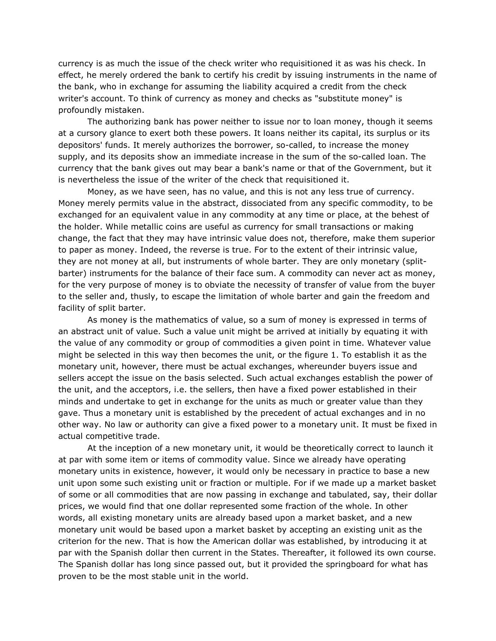currency is as much the issue of the check writer who requisitioned it as was his check. In effect, he merely ordered the bank to certify his credit by issuing instruments in the name of the bank, who in exchange for assuming the liability acquired a credit from the check writer's account. To think of currency as money and checks as "substitute money" is profoundly mistaken.

The authorizing bank has power neither to issue nor to loan money, though it seems at a cursory glance to exert both these powers. It loans neither its capital, its surplus or its depositors' funds. It merely authorizes the borrower, so-called, to increase the money supply, and its deposits show an immediate increase in the sum of the so-called loan. The currency that the bank gives out may bear a bank's name or that of the Government, but it is nevertheless the issue of the writer of the check that requisitioned it.

Money, as we have seen, has no value, and this is not any less true of currency. Money merely permits value in the abstract, dissociated from any specific commodity, to be exchanged for an equivalent value in any commodity at any time or place, at the behest of the holder. While metallic coins are useful as currency for small transactions or making change, the fact that they may have intrinsic value does not, therefore, make them superior to paper as money. Indeed, the reverse is true. For to the extent of their intrinsic value, they are not money at all, but instruments of whole barter. They are only monetary (splitbarter) instruments for the balance of their face sum. A commodity can never act as money, for the very purpose of money is to obviate the necessity of transfer of value from the buyer to the seller and, thusly, to escape the limitation of whole barter and gain the freedom and facility of split barter.

As money is the mathematics of value, so a sum of money is expressed in terms of an abstract unit of value. Such a value unit might be arrived at initially by equating it with the value of any commodity or group of commodities a given point in time. Whatever value might be selected in this way then becomes the unit, or the figure 1. To establish it as the monetary unit, however, there must be actual exchanges, whereunder buyers issue and sellers accept the issue on the basis selected. Such actual exchanges establish the power of the unit, and the acceptors, i.e. the sellers, then have a fixed power established in their minds and undertake to get in exchange for the units as much or greater value than they gave. Thus a monetary unit is established by the precedent of actual exchanges and in no other way. No law or authority can give a fixed power to a monetary unit. It must be fixed in actual competitive trade.

At the inception of a new monetary unit, it would be theoretically correct to launch it at par with some item or items of commodity value. Since we already have operating monetary units in existence, however, it would only be necessary in practice to base a new unit upon some such existing unit or fraction or multiple. For if we made up a market basket of some or all commodities that are now passing in exchange and tabulated, say, their dollar prices, we would find that one dollar represented some fraction of the whole. In other words, all existing monetary units are already based upon a market basket, and a new monetary unit would be based upon a market basket by accepting an existing unit as the criterion for the new. That is how the American dollar was established, by introducing it at par with the Spanish dollar then current in the States. Thereafter, it followed its own course. The Spanish dollar has long since passed out, but it provided the springboard for what has proven to be the most stable unit in the world.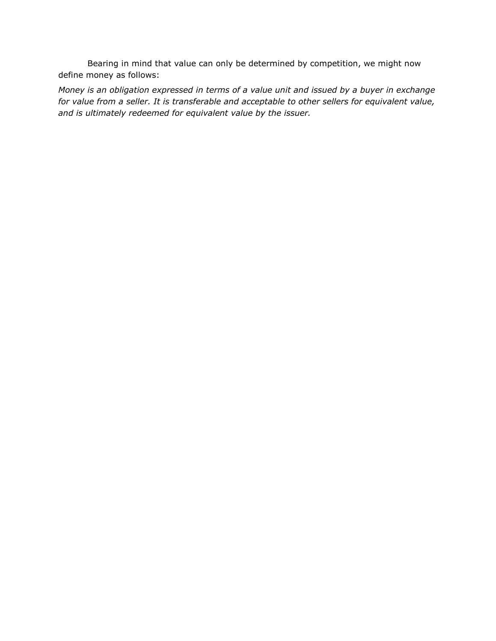Bearing in mind that value can only be determined by competition, we might now define money as follows:

Money is an obligation expressed in terms of a value unit and issued by a buyer in exchange for value from a seller. It is transferable and acceptable to other sellers for equivalent value, and is ultimately redeemed for equivalent value by the issuer.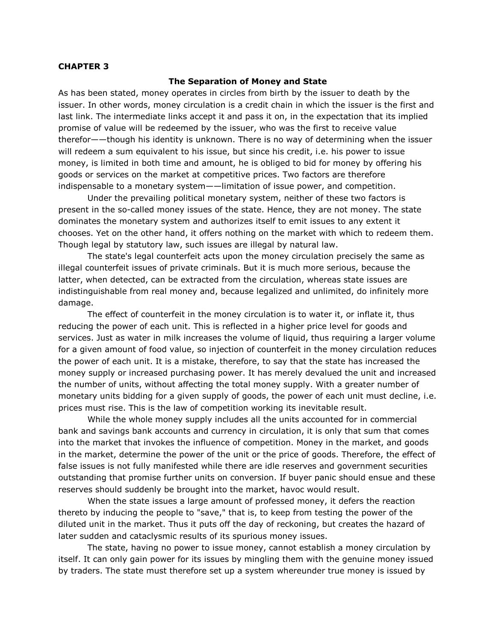## CHAPTER 3

### The Separation of Money and State

As has been stated, money operates in circles from birth by the issuer to death by the issuer. In other words, money circulation is a credit chain in which the issuer is the first and last link. The intermediate links accept it and pass it on, in the expectation that its implied promise of value will be redeemed by the issuer, who was the first to receive value therefor——though his identity is unknown. There is no way of determining when the issuer will redeem a sum equivalent to his issue, but since his credit, i.e. his power to issue money, is limited in both time and amount, he is obliged to bid for money by offering his goods or services on the market at competitive prices. Two factors are therefore indispensable to a monetary system——limitation of issue power, and competition.

Under the prevailing political monetary system, neither of these two factors is present in the so-called money issues of the state. Hence, they are not money. The state dominates the monetary system and authorizes itself to emit issues to any extent it chooses. Yet on the other hand, it offers nothing on the market with which to redeem them. Though legal by statutory law, such issues are illegal by natural law.

The state's legal counterfeit acts upon the money circulation precisely the same as illegal counterfeit issues of private criminals. But it is much more serious, because the latter, when detected, can be extracted from the circulation, whereas state issues are indistinguishable from real money and, because legalized and unlimited, do infinitely more damage.

The effect of counterfeit in the money circulation is to water it, or inflate it, thus reducing the power of each unit. This is reflected in a higher price level for goods and services. Just as water in milk increases the volume of liquid, thus requiring a larger volume for a given amount of food value, so injection of counterfeit in the money circulation reduces the power of each unit. It is a mistake, therefore, to say that the state has increased the money supply or increased purchasing power. It has merely devalued the unit and increased the number of units, without affecting the total money supply. With a greater number of monetary units bidding for a given supply of goods, the power of each unit must decline, i.e. prices must rise. This is the law of competition working its inevitable result.

While the whole money supply includes all the units accounted for in commercial bank and savings bank accounts and currency in circulation, it is only that sum that comes into the market that invokes the influence of competition. Money in the market, and goods in the market, determine the power of the unit or the price of goods. Therefore, the effect of false issues is not fully manifested while there are idle reserves and government securities outstanding that promise further units on conversion. If buyer panic should ensue and these reserves should suddenly be brought into the market, havoc would result.

When the state issues a large amount of professed money, it defers the reaction thereto by inducing the people to "save," that is, to keep from testing the power of the diluted unit in the market. Thus it puts off the day of reckoning, but creates the hazard of later sudden and cataclysmic results of its spurious money issues.

The state, having no power to issue money, cannot establish a money circulation by itself. It can only gain power for its issues by mingling them with the genuine money issued by traders. The state must therefore set up a system whereunder true money is issued by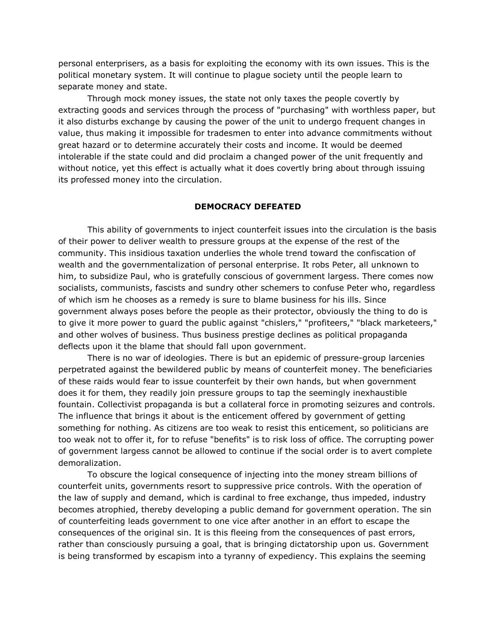personal enterprisers, as a basis for exploiting the economy with its own issues. This is the political monetary system. It will continue to plague society until the people learn to separate money and state.

Through mock money issues, the state not only taxes the people covertly by extracting goods and services through the process of "purchasing" with worthless paper, but it also disturbs exchange by causing the power of the unit to undergo frequent changes in value, thus making it impossible for tradesmen to enter into advance commitments without great hazard or to determine accurately their costs and income. It would be deemed intolerable if the state could and did proclaim a changed power of the unit frequently and without notice, yet this effect is actually what it does covertly bring about through issuing its professed money into the circulation.

## DEMOCRACY DEFEATED

This ability of governments to inject counterfeit issues into the circulation is the basis of their power to deliver wealth to pressure groups at the expense of the rest of the community. This insidious taxation underlies the whole trend toward the confiscation of wealth and the governmentalization of personal enterprise. It robs Peter, all unknown to him, to subsidize Paul, who is gratefully conscious of government largess. There comes now socialists, communists, fascists and sundry other schemers to confuse Peter who, regardless of which ism he chooses as a remedy is sure to blame business for his ills. Since government always poses before the people as their protector, obviously the thing to do is to give it more power to guard the public against "chislers," "profiteers," "black marketeers," and other wolves of business. Thus business prestige declines as political propaganda deflects upon it the blame that should fall upon government.

There is no war of ideologies. There is but an epidemic of pressure-group larcenies perpetrated against the bewildered public by means of counterfeit money. The beneficiaries of these raids would fear to issue counterfeit by their own hands, but when government does it for them, they readily join pressure groups to tap the seemingly inexhaustible fountain. Collectivist propaganda is but a collateral force in promoting seizures and controls. The influence that brings it about is the enticement offered by government of getting something for nothing. As citizens are too weak to resist this enticement, so politicians are too weak not to offer it, for to refuse "benefits" is to risk loss of office. The corrupting power of government largess cannot be allowed to continue if the social order is to avert complete demoralization.

To obscure the logical consequence of injecting into the money stream billions of counterfeit units, governments resort to suppressive price controls. With the operation of the law of supply and demand, which is cardinal to free exchange, thus impeded, industry becomes atrophied, thereby developing a public demand for government operation. The sin of counterfeiting leads government to one vice after another in an effort to escape the consequences of the original sin. It is this fleeing from the consequences of past errors, rather than consciously pursuing a goal, that is bringing dictatorship upon us. Government is being transformed by escapism into a tyranny of expediency. This explains the seeming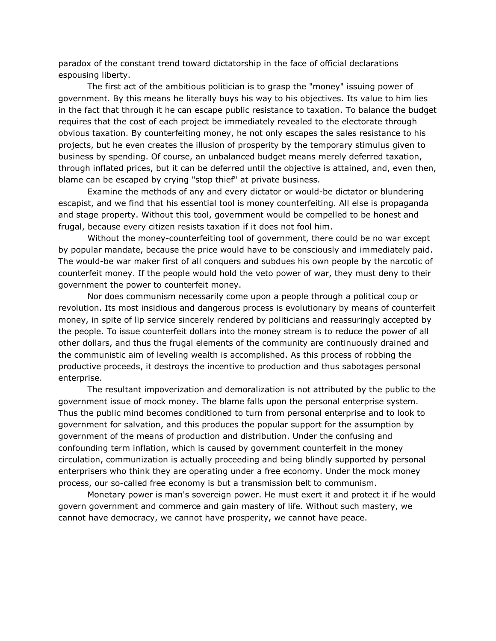paradox of the constant trend toward dictatorship in the face of official declarations espousing liberty.

The first act of the ambitious politician is to grasp the "money" issuing power of government. By this means he literally buys his way to his objectives. Its value to him lies in the fact that through it he can escape public resistance to taxation. To balance the budget requires that the cost of each project be immediately revealed to the electorate through obvious taxation. By counterfeiting money, he not only escapes the sales resistance to his projects, but he even creates the illusion of prosperity by the temporary stimulus given to business by spending. Of course, an unbalanced budget means merely deferred taxation, through inflated prices, but it can be deferred until the objective is attained, and, even then, blame can be escaped by crying "stop thief" at private business.

Examine the methods of any and every dictator or would-be dictator or blundering escapist, and we find that his essential tool is money counterfeiting. All else is propaganda and stage property. Without this tool, government would be compelled to be honest and frugal, because every citizen resists taxation if it does not fool him.

Without the money-counterfeiting tool of government, there could be no war except by popular mandate, because the price would have to be consciously and immediately paid. The would-be war maker first of all conquers and subdues his own people by the narcotic of counterfeit money. If the people would hold the veto power of war, they must deny to their government the power to counterfeit money.

Nor does communism necessarily come upon a people through a political coup or revolution. Its most insidious and dangerous process is evolutionary by means of counterfeit money, in spite of lip service sincerely rendered by politicians and reassuringly accepted by the people. To issue counterfeit dollars into the money stream is to reduce the power of all other dollars, and thus the frugal elements of the community are continuously drained and the communistic aim of leveling wealth is accomplished. As this process of robbing the productive proceeds, it destroys the incentive to production and thus sabotages personal enterprise.

The resultant impoverization and demoralization is not attributed by the public to the government issue of mock money. The blame falls upon the personal enterprise system. Thus the public mind becomes conditioned to turn from personal enterprise and to look to government for salvation, and this produces the popular support for the assumption by government of the means of production and distribution. Under the confusing and confounding term inflation, which is caused by government counterfeit in the money circulation, communization is actually proceeding and being blindly supported by personal enterprisers who think they are operating under a free economy. Under the mock money process, our so-called free economy is but a transmission belt to communism.

Monetary power is man's sovereign power. He must exert it and protect it if he would govern government and commerce and gain mastery of life. Without such mastery, we cannot have democracy, we cannot have prosperity, we cannot have peace.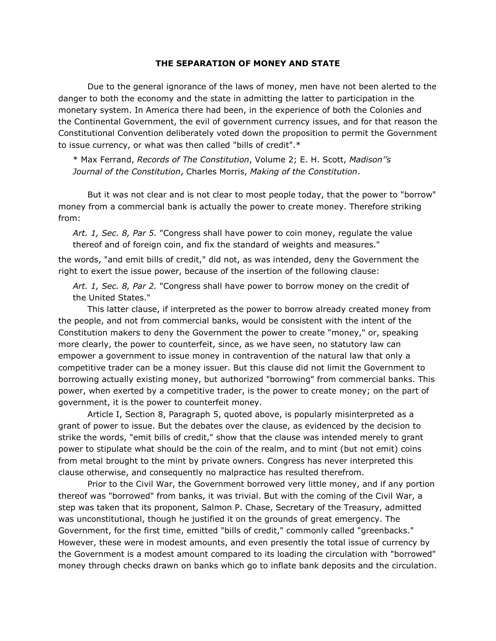## THE SEPARATION OF MONEY AND STATE

Due to the general ignorance of the laws of money, men have not been alerted to the danger to both the economy and the state in admitting the latter to participation in the monetary system. In America there had been, in the experience of both the Colonies and the Continental Government, the evil of government currency issues, and for that reason the Constitutional Convention deliberately voted down the proposition to permit the Government to issue currency, or what was then called "bills of credit".\*

\* Max Ferrand, Records of The Constitution, Volume 2; E. H. Scott, Madison''s Journal of the Constitution, Charles Morris, Making of the Constitution.

But it was not clear and is not clear to most people today, that the power to "borrow" money from a commercial bank is actually the power to create money. Therefore striking from:

Art. 1, Sec. 8, Par 5. "Congress shall have power to coin money, regulate the value thereof and of foreign coin, and fix the standard of weights and measures."

the words, "and emit bills of credit," did not, as was intended, deny the Government the right to exert the issue power, because of the insertion of the following clause:

Art. 1, Sec. 8, Par 2. "Congress shall have power to borrow money on the credit of the United States."

This latter clause, if interpreted as the power to borrow already created money from the people, and not from commercial banks, would be consistent with the intent of the Constitution makers to deny the Government the power to create "money," or, speaking more clearly, the power to counterfeit, since, as we have seen, no statutory law can empower a government to issue money in contravention of the natural law that only a competitive trader can be a money issuer. But this clause did not limit the Government to borrowing actually existing money, but authorized "borrowing" from commercial banks. This power, when exerted by a competitive trader, is the power to create money; on the part of government, it is the power to counterfeit money.

Article I, Section 8, Paragraph 5, quoted above, is popularly misinterpreted as a grant of power to issue. But the debates over the clause, as evidenced by the decision to strike the words, "emit bills of credit," show that the clause was intended merely to grant power to stipulate what should be the coin of the realm, and to mint (but not emit) coins from metal brought to the mint by private owners. Congress has never interpreted this clause otherwise, and consequently no malpractice has resulted therefrom.

Prior to the Civil War, the Government borrowed very little money, and if any portion thereof was "borrowed" from banks, it was trivial. But with the coming of the Civil War, a step was taken that its proponent, Salmon P. Chase, Secretary of the Treasury, admitted was unconstitutional, though he justified it on the grounds of great emergency. The Government, for the first time, emitted "bills of credit," commonly called "greenbacks." However, these were in modest amounts, and even presently the total issue of currency by the Government is a modest amount compared to its loading the circulation with "borrowed" money through checks drawn on banks which go to inflate bank deposits and the circulation.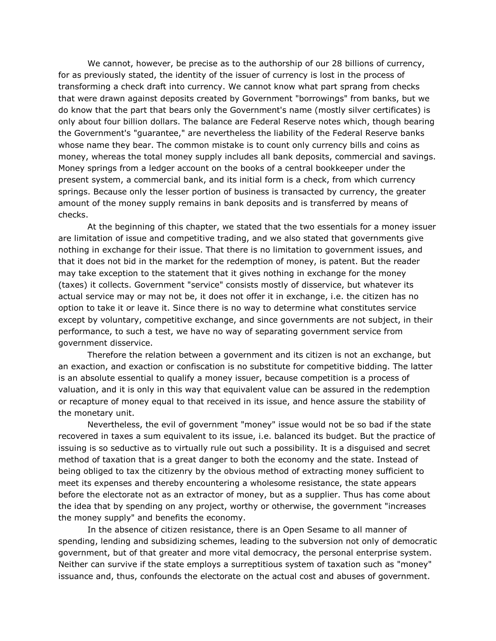We cannot, however, be precise as to the authorship of our 28 billions of currency, for as previously stated, the identity of the issuer of currency is lost in the process of transforming a check draft into currency. We cannot know what part sprang from checks that were drawn against deposits created by Government "borrowings" from banks, but we do know that the part that bears only the Government's name (mostly silver certificates) is only about four billion dollars. The balance are Federal Reserve notes which, though bearing the Government's "guarantee," are nevertheless the liability of the Federal Reserve banks whose name they bear. The common mistake is to count only currency bills and coins as money, whereas the total money supply includes all bank deposits, commercial and savings. Money springs from a ledger account on the books of a central bookkeeper under the present system, a commercial bank, and its initial form is a check, from which currency springs. Because only the lesser portion of business is transacted by currency, the greater amount of the money supply remains in bank deposits and is transferred by means of checks.

At the beginning of this chapter, we stated that the two essentials for a money issuer are limitation of issue and competitive trading, and we also stated that governments give nothing in exchange for their issue. That there is no limitation to government issues, and that it does not bid in the market for the redemption of money, is patent. But the reader may take exception to the statement that it gives nothing in exchange for the money (taxes) it collects. Government "service" consists mostly of disservice, but whatever its actual service may or may not be, it does not offer it in exchange, i.e. the citizen has no option to take it or leave it. Since there is no way to determine what constitutes service except by voluntary, competitive exchange, and since governments are not subject, in their performance, to such a test, we have no way of separating government service from government disservice.

Therefore the relation between a government and its citizen is not an exchange, but an exaction, and exaction or confiscation is no substitute for competitive bidding. The latter is an absolute essential to qualify a money issuer, because competition is a process of valuation, and it is only in this way that equivalent value can be assured in the redemption or recapture of money equal to that received in its issue, and hence assure the stability of the monetary unit.

Nevertheless, the evil of government "money" issue would not be so bad if the state recovered in taxes a sum equivalent to its issue, i.e. balanced its budget. But the practice of issuing is so seductive as to virtually rule out such a possibility. It is a disguised and secret method of taxation that is a great danger to both the economy and the state. Instead of being obliged to tax the citizenry by the obvious method of extracting money sufficient to meet its expenses and thereby encountering a wholesome resistance, the state appears before the electorate not as an extractor of money, but as a supplier. Thus has come about the idea that by spending on any project, worthy or otherwise, the government "increases the money supply" and benefits the economy.

In the absence of citizen resistance, there is an Open Sesame to all manner of spending, lending and subsidizing schemes, leading to the subversion not only of democratic government, but of that greater and more vital democracy, the personal enterprise system. Neither can survive if the state employs a surreptitious system of taxation such as "money" issuance and, thus, confounds the electorate on the actual cost and abuses of government.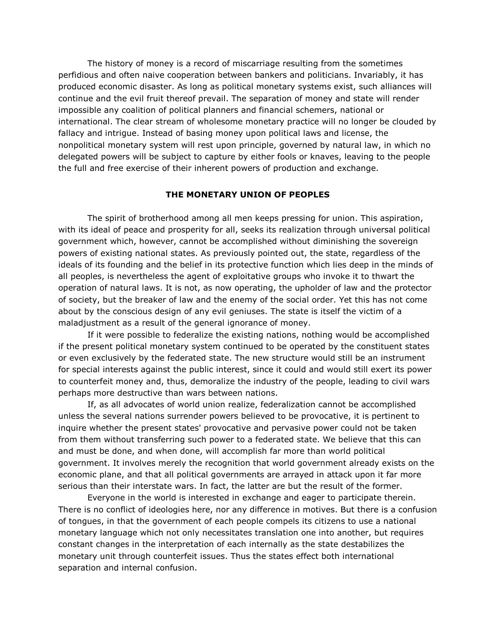The history of money is a record of miscarriage resulting from the sometimes perfidious and often naive cooperation between bankers and politicians. Invariably, it has produced economic disaster. As long as political monetary systems exist, such alliances will continue and the evil fruit thereof prevail. The separation of money and state will render impossible any coalition of political planners and financial schemers, national or international. The clear stream of wholesome monetary practice will no longer be clouded by fallacy and intrigue. Instead of basing money upon political laws and license, the nonpolitical monetary system will rest upon principle, governed by natural law, in which no delegated powers will be subject to capture by either fools or knaves, leaving to the people the full and free exercise of their inherent powers of production and exchange.

### THE MONETARY UNION OF PEOPLES

The spirit of brotherhood among all men keeps pressing for union. This aspiration, with its ideal of peace and prosperity for all, seeks its realization through universal political government which, however, cannot be accomplished without diminishing the sovereign powers of existing national states. As previously pointed out, the state, regardless of the ideals of its founding and the belief in its protective function which lies deep in the minds of all peoples, is nevertheless the agent of exploitative groups who invoke it to thwart the operation of natural laws. It is not, as now operating, the upholder of law and the protector of society, but the breaker of law and the enemy of the social order. Yet this has not come about by the conscious design of any evil geniuses. The state is itself the victim of a maladjustment as a result of the general ignorance of money.

If it were possible to federalize the existing nations, nothing would be accomplished if the present political monetary system continued to be operated by the constituent states or even exclusively by the federated state. The new structure would still be an instrument for special interests against the public interest, since it could and would still exert its power to counterfeit money and, thus, demoralize the industry of the people, leading to civil wars perhaps more destructive than wars between nations.

If, as all advocates of world union realize, federalization cannot be accomplished unless the several nations surrender powers believed to be provocative, it is pertinent to inquire whether the present states' provocative and pervasive power could not be taken from them without transferring such power to a federated state. We believe that this can and must be done, and when done, will accomplish far more than world political government. It involves merely the recognition that world government already exists on the economic plane, and that all political governments are arrayed in attack upon it far more serious than their interstate wars. In fact, the latter are but the result of the former.

Everyone in the world is interested in exchange and eager to participate therein. There is no conflict of ideologies here, nor any difference in motives. But there is a confusion of tongues, in that the government of each people compels its citizens to use a national monetary language which not only necessitates translation one into another, but requires constant changes in the interpretation of each internally as the state destabilizes the monetary unit through counterfeit issues. Thus the states effect both international separation and internal confusion.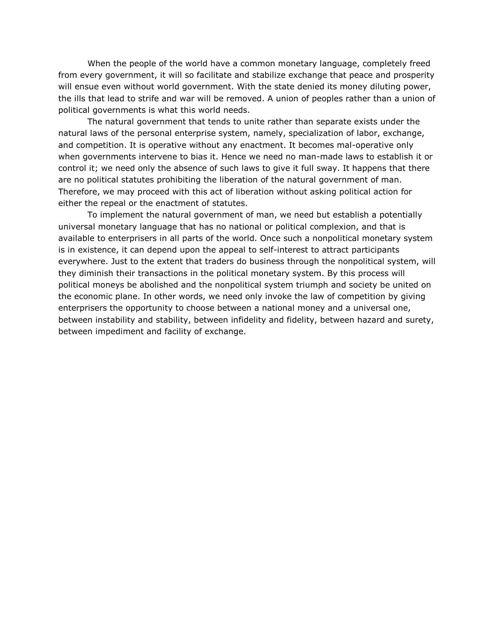When the people of the world have a common monetary language, completely freed from every government, it will so facilitate and stabilize exchange that peace and prosperity will ensue even without world government. With the state denied its money diluting power, the ills that lead to strife and war will be removed. A union of peoples rather than a union of political governments is what this world needs.

The natural government that tends to unite rather than separate exists under the natural laws of the personal enterprise system, namely, specialization of labor, exchange, and competition. It is operative without any enactment. It becomes mal-operative only when governments intervene to bias it. Hence we need no man-made laws to establish it or control it; we need only the absence of such laws to give it full sway. It happens that there are no political statutes prohibiting the liberation of the natural government of man. Therefore, we may proceed with this act of liberation without asking political action for either the repeal or the enactment of statutes.

To implement the natural government of man, we need but establish a potentially universal monetary language that has no national or political complexion, and that is available to enterprisers in all parts of the world. Once such a nonpolitical monetary system is in existence, it can depend upon the appeal to self-interest to attract participants everywhere. Just to the extent that traders do business through the nonpolitical system, will they diminish their transactions in the political monetary system. By this process will political moneys be abolished and the nonpolitical system triumph and society be united on the economic plane. In other words, we need only invoke the law of competition by giving enterprisers the opportunity to choose between a national money and a universal one, between instability and stability, between infidelity and fidelity, between hazard and surety, between impediment and facility of exchange.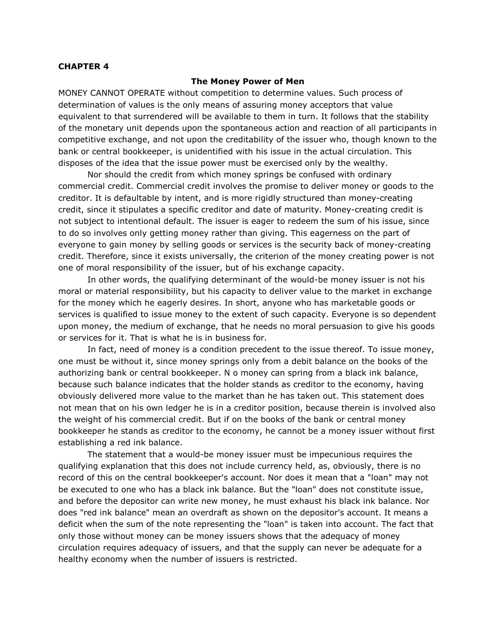## CHAPTER 4

#### The Money Power of Men

MONEY CANNOT OPERATE without competition to determine values. Such process of determination of values is the only means of assuring money acceptors that value equivalent to that surrendered will be available to them in turn. It follows that the stability of the monetary unit depends upon the spontaneous action and reaction of all participants in competitive exchange, and not upon the creditability of the issuer who, though known to the bank or central bookkeeper, is unidentified with his issue in the actual circulation. This disposes of the idea that the issue power must be exercised only by the wealthy.

Nor should the credit from which money springs be confused with ordinary commercial credit. Commercial credit involves the promise to deliver money or goods to the creditor. It is defaultable by intent, and is more rigidly structured than money-creating credit, since it stipulates a specific creditor and date of maturity. Money-creating credit is not subject to intentional default. The issuer is eager to redeem the sum of his issue, since to do so involves only getting money rather than giving. This eagerness on the part of everyone to gain money by selling goods or services is the security back of money-creating credit. Therefore, since it exists universally, the criterion of the money creating power is not one of moral responsibility of the issuer, but of his exchange capacity.

In other words, the qualifying determinant of the would-be money issuer is not his moral or material responsibility, but his capacity to deliver value to the market in exchange for the money which he eagerly desires. In short, anyone who has marketable goods or services is qualified to issue money to the extent of such capacity. Everyone is so dependent upon money, the medium of exchange, that he needs no moral persuasion to give his goods or services for it. That is what he is in business for.

In fact, need of money is a condition precedent to the issue thereof. To issue money, one must be without it, since money springs only from a debit balance on the books of the authorizing bank or central bookkeeper. N o money can spring from a black ink balance, because such balance indicates that the holder stands as creditor to the economy, having obviously delivered more value to the market than he has taken out. This statement does not mean that on his own ledger he is in a creditor position, because therein is involved also the weight of his commercial credit. But if on the books of the bank or central money bookkeeper he stands as creditor to the economy, he cannot be a money issuer without first establishing a red ink balance.

The statement that a would-be money issuer must be impecunious requires the qualifying explanation that this does not include currency held, as, obviously, there is no record of this on the central bookkeeper's account. Nor does it mean that a "loan" may not be executed to one who has a black ink balance. But the "loan" does not constitute issue, and before the depositor can write new money, he must exhaust his black ink balance. Nor does "red ink balance" mean an overdraft as shown on the depositor's account. It means a deficit when the sum of the note representing the "loan" is taken into account. The fact that only those without money can be money issuers shows that the adequacy of money circulation requires adequacy of issuers, and that the supply can never be adequate for a healthy economy when the number of issuers is restricted.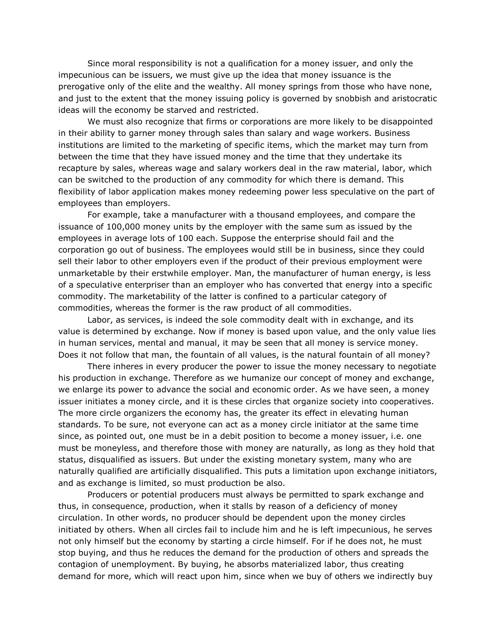Since moral responsibility is not a qualification for a money issuer, and only the impecunious can be issuers, we must give up the idea that money issuance is the prerogative only of the elite and the wealthy. All money springs from those who have none, and just to the extent that the money issuing policy is governed by snobbish and aristocratic ideas will the economy be starved and restricted.

We must also recognize that firms or corporations are more likely to be disappointed in their ability to garner money through sales than salary and wage workers. Business institutions are limited to the marketing of specific items, which the market may turn from between the time that they have issued money and the time that they undertake its recapture by sales, whereas wage and salary workers deal in the raw material, labor, which can be switched to the production of any commodity for which there is demand. This flexibility of labor application makes money redeeming power less speculative on the part of employees than employers.

For example, take a manufacturer with a thousand employees, and compare the issuance of 100,000 money units by the employer with the same sum as issued by the employees in average lots of 100 each. Suppose the enterprise should fail and the corporation go out of business. The employees would still be in business, since they could sell their labor to other employers even if the product of their previous employment were unmarketable by their erstwhile employer. Man, the manufacturer of human energy, is less of a speculative enterpriser than an employer who has converted that energy into a specific commodity. The marketability of the latter is confined to a particular category of commodities, whereas the former is the raw product of all commodities.

Labor, as services, is indeed the sole commodity dealt with in exchange, and its value is determined by exchange. Now if money is based upon value, and the only value lies in human services, mental and manual, it may be seen that all money is service money. Does it not follow that man, the fountain of all values, is the natural fountain of all money?

There inheres in every producer the power to issue the money necessary to negotiate his production in exchange. Therefore as we humanize our concept of money and exchange, we enlarge its power to advance the social and economic order. As we have seen, a money issuer initiates a money circle, and it is these circles that organize society into cooperatives. The more circle organizers the economy has, the greater its effect in elevating human standards. To be sure, not everyone can act as a money circle initiator at the same time since, as pointed out, one must be in a debit position to become a money issuer, i.e. one must be moneyless, and therefore those with money are naturally, as long as they hold that status, disqualified as issuers. But under the existing monetary system, many who are naturally qualified are artificially disqualified. This puts a limitation upon exchange initiators, and as exchange is limited, so must production be also.

Producers or potential producers must always be permitted to spark exchange and thus, in consequence, production, when it stalls by reason of a deficiency of money circulation. In other words, no producer should be dependent upon the money circles initiated by others. When all circles fail to include him and he is left impecunious, he serves not only himself but the economy by starting a circle himself. For if he does not, he must stop buying, and thus he reduces the demand for the production of others and spreads the contagion of unemployment. By buying, he absorbs materialized labor, thus creating demand for more, which will react upon him, since when we buy of others we indirectly buy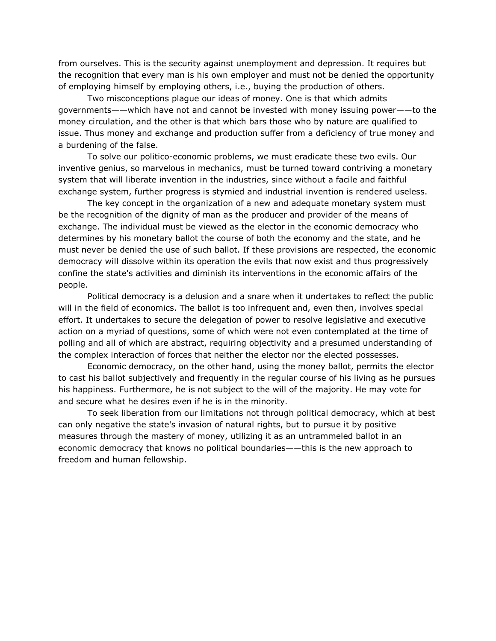from ourselves. This is the security against unemployment and depression. It requires but the recognition that every man is his own employer and must not be denied the opportunity of employing himself by employing others, i.e., buying the production of others.

Two misconceptions plague our ideas of money. One is that which admits governments——which have not and cannot be invested with money issuing power——to the money circulation, and the other is that which bars those who by nature are qualified to issue. Thus money and exchange and production suffer from a deficiency of true money and a burdening of the false.

To solve our politico-economic problems, we must eradicate these two evils. Our inventive genius, so marvelous in mechanics, must be turned toward contriving a monetary system that will liberate invention in the industries, since without a facile and faithful exchange system, further progress is stymied and industrial invention is rendered useless.

The key concept in the organization of a new and adequate monetary system must be the recognition of the dignity of man as the producer and provider of the means of exchange. The individual must be viewed as the elector in the economic democracy who determines by his monetary ballot the course of both the economy and the state, and he must never be denied the use of such ballot. If these provisions are respected, the economic democracy will dissolve within its operation the evils that now exist and thus progressively confine the state's activities and diminish its interventions in the economic affairs of the people.

Political democracy is a delusion and a snare when it undertakes to reflect the public will in the field of economics. The ballot is too infrequent and, even then, involves special effort. It undertakes to secure the delegation of power to resolve legislative and executive action on a myriad of questions, some of which were not even contemplated at the time of polling and all of which are abstract, requiring objectivity and a presumed understanding of the complex interaction of forces that neither the elector nor the elected possesses.

Economic democracy, on the other hand, using the money ballot, permits the elector to cast his ballot subjectively and frequently in the regular course of his living as he pursues his happiness. Furthermore, he is not subject to the will of the majority. He may vote for and secure what he desires even if he is in the minority.

To seek liberation from our limitations not through political democracy, which at best can only negative the state's invasion of natural rights, but to pursue it by positive measures through the mastery of money, utilizing it as an untrammeled ballot in an economic democracy that knows no political boundaries——this is the new approach to freedom and human fellowship.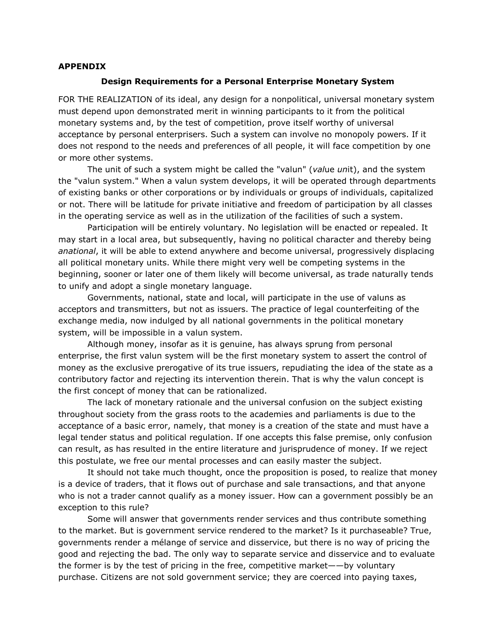## APPENDIX

### Design Requirements for a Personal Enterprise Monetary System

FOR THE REALIZATION of its ideal, any design for a nonpolitical, universal monetary system must depend upon demonstrated merit in winning participants to it from the political monetary systems and, by the test of competition, prove itself worthy of universal acceptance by personal enterprisers. Such a system can involve no monopoly powers. If it does not respond to the needs and preferences of all people, it will face competition by one or more other systems.

The unit of such a system might be called the "valun" (value unit), and the system the "valun system." When a valun system develops, it will be operated through departments of existing banks or other corporations or by individuals or groups of individuals, capitalized or not. There will be latitude for private initiative and freedom of participation by all classes in the operating service as well as in the utilization of the facilities of such a system.

Participation will be entirely voluntary. No legislation will be enacted or repealed. It may start in a local area, but subsequently, having no political character and thereby being anational, it will be able to extend anywhere and become universal, progressively displacing all political monetary units. While there might very well be competing systems in the beginning, sooner or later one of them likely will become universal, as trade naturally tends to unify and adopt a single monetary language.

Governments, national, state and local, will participate in the use of valuns as acceptors and transmitters, but not as issuers. The practice of legal counterfeiting of the exchange media, now indulged by all national governments in the political monetary system, will be impossible in a valun system.

Although money, insofar as it is genuine, has always sprung from personal enterprise, the first valun system will be the first monetary system to assert the control of money as the exclusive prerogative of its true issuers, repudiating the idea of the state as a contributory factor and rejecting its intervention therein. That is why the valun concept is the first concept of money that can be rationalized.

The lack of monetary rationale and the universal confusion on the subject existing throughout society from the grass roots to the academies and parliaments is due to the acceptance of a basic error, namely, that money is a creation of the state and must have a legal tender status and political regulation. If one accepts this false premise, only confusion can result, as has resulted in the entire literature and jurisprudence of money. If we reject this postulate, we free our mental processes and can easily master the subject.

It should not take much thought, once the proposition is posed, to realize that money is a device of traders, that it flows out of purchase and sale transactions, and that anyone who is not a trader cannot qualify as a money issuer. How can a government possibly be an exception to this rule?

Some will answer that governments render services and thus contribute something to the market. But is government service rendered to the market? Is it purchaseable? True, governments render a mélange of service and disservice, but there is no way of pricing the good and rejecting the bad. The only way to separate service and disservice and to evaluate the former is by the test of pricing in the free, competitive market——by voluntary purchase. Citizens are not sold government service; they are coerced into paying taxes,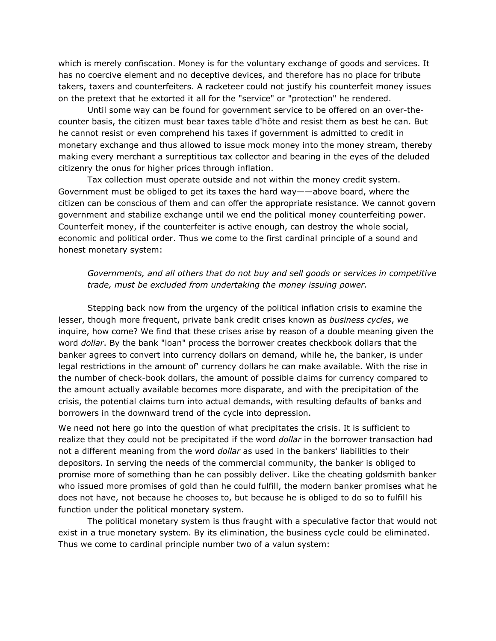which is merely confiscation. Money is for the voluntary exchange of goods and services. It has no coercive element and no deceptive devices, and therefore has no place for tribute takers, taxers and counterfeiters. A racketeer could not justify his counterfeit money issues on the pretext that he extorted it all for the "service" or "protection" he rendered.

Until some way can be found for government service to be offered on an over-thecounter basis, the citizen must bear taxes table d'hôte and resist them as best he can. But he cannot resist or even comprehend his taxes if government is admitted to credit in monetary exchange and thus allowed to issue mock money into the money stream, thereby making every merchant a surreptitious tax collector and bearing in the eyes of the deluded citizenry the onus for higher prices through inflation.

Tax collection must operate outside and not within the money credit system. Government must be obliged to get its taxes the hard way——above board, where the citizen can be conscious of them and can offer the appropriate resistance. We cannot govern government and stabilize exchange until we end the political money counterfeiting power. Counterfeit money, if the counterfeiter is active enough, can destroy the whole social, economic and political order. Thus we come to the first cardinal principle of a sound and honest monetary system:

# Governments, and all others that do not buy and sell goods or services in competitive trade, must be excluded from undertaking the money issuing power.

Stepping back now from the urgency of the political inflation crisis to examine the lesser, though more frequent, private bank credit crises known as business cycles, we inquire, how come? We find that these crises arise by reason of a double meaning given the word dollar. By the bank "loan" process the borrower creates checkbook dollars that the banker agrees to convert into currency dollars on demand, while he, the banker, is under legal restrictions in the amount of' currency dollars he can make available. With the rise in the number of check-book dollars, the amount of possible claims for currency compared to the amount actually available becomes more disparate, and with the precipitation of the crisis, the potential claims turn into actual demands, with resulting defaults of banks and borrowers in the downward trend of the cycle into depression.

We need not here go into the question of what precipitates the crisis. It is sufficient to realize that they could not be precipitated if the word *dollar* in the borrower transaction had not a different meaning from the word *dollar* as used in the bankers' liabilities to their depositors. In serving the needs of the commercial community, the banker is obliged to promise more of something than he can possibly deliver. Like the cheating goldsmith banker who issued more promises of gold than he could fulfill, the modern banker promises what he does not have, not because he chooses to, but because he is obliged to do so to fulfill his function under the political monetary system.

The political monetary system is thus fraught with a speculative factor that would not exist in a true monetary system. By its elimination, the business cycle could be eliminated. Thus we come to cardinal principle number two of a valun system: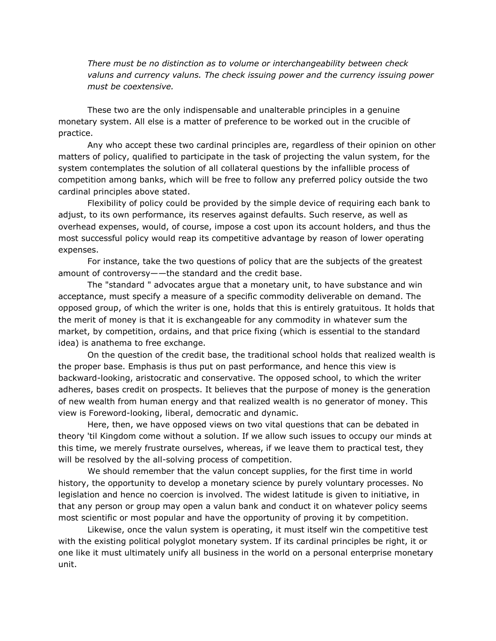There must be no distinction as to volume or interchangeability between check valuns and currency valuns. The check issuing power and the currency issuing power must be coextensive.

These two are the only indispensable and unalterable principles in a genuine monetary system. All else is a matter of preference to be worked out in the crucible of practice.

Any who accept these two cardinal principles are, regardless of their opinion on other matters of policy, qualified to participate in the task of projecting the valun system, for the system contemplates the solution of all collateral questions by the infallible process of competition among banks, which will be free to follow any preferred policy outside the two cardinal principles above stated.

Flexibility of policy could be provided by the simple device of requiring each bank to adjust, to its own performance, its reserves against defaults. Such reserve, as well as overhead expenses, would, of course, impose a cost upon its account holders, and thus the most successful policy would reap its competitive advantage by reason of lower operating expenses.

For instance, take the two questions of policy that are the subjects of the greatest amount of controversy——the standard and the credit base.

The "standard " advocates argue that a monetary unit, to have substance and win acceptance, must specify a measure of a specific commodity deliverable on demand. The opposed group, of which the writer is one, holds that this is entirely gratuitous. It holds that the merit of money is that it is exchangeable for any commodity in whatever sum the market, by competition, ordains, and that price fixing (which is essential to the standard idea) is anathema to free exchange.

On the question of the credit base, the traditional school holds that realized wealth is the proper base. Emphasis is thus put on past performance, and hence this view is backward-looking, aristocratic and conservative. The opposed school, to which the writer adheres, bases credit on prospects. It believes that the purpose of money is the generation of new wealth from human energy and that realized wealth is no generator of money. This view is Foreword-looking, liberal, democratic and dynamic.

Here, then, we have opposed views on two vital questions that can be debated in theory 'til Kingdom come without a solution. If we allow such issues to occupy our minds at this time, we merely frustrate ourselves, whereas, if we leave them to practical test, they will be resolved by the all-solving process of competition.

We should remember that the valun concept supplies, for the first time in world history, the opportunity to develop a monetary science by purely voluntary processes. No legislation and hence no coercion is involved. The widest latitude is given to initiative, in that any person or group may open a valun bank and conduct it on whatever policy seems most scientific or most popular and have the opportunity of proving it by competition.

Likewise, once the valun system is operating, it must itself win the competitive test with the existing political polyglot monetary system. If its cardinal principles be right, it or one like it must ultimately unify all business in the world on a personal enterprise monetary unit.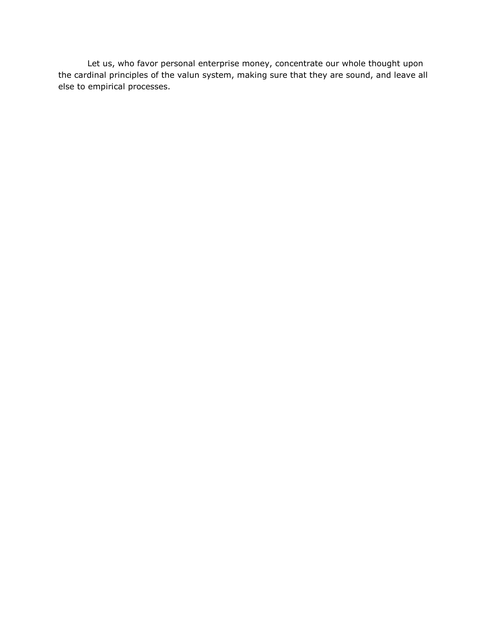Let us, who favor personal enterprise money, concentrate our whole thought upon the cardinal principles of the valun system, making sure that they are sound, and leave all else to empirical processes.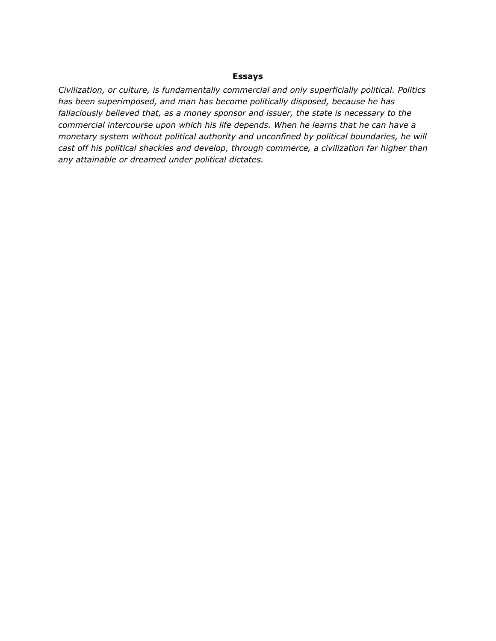## Essays

Civilization, or culture, is fundamentally commercial and only superficially political. Politics has been superimposed, and man has become politically disposed, because he has fallaciously believed that, as a money sponsor and issuer, the state is necessary to the commercial intercourse upon which his life depends. When he learns that he can have a monetary system without political authority and unconfined by political boundaries, he will cast off his political shackles and develop, through commerce, a civilization far higher than any attainable or dreamed under political dictates.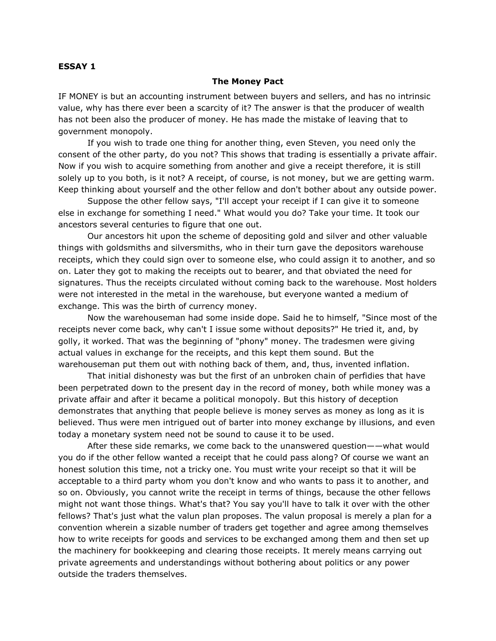### The Money Pact

IF MONEY is but an accounting instrument between buyers and sellers, and has no intrinsic value, why has there ever been a scarcity of it? The answer is that the producer of wealth has not been also the producer of money. He has made the mistake of leaving that to government monopoly.

If you wish to trade one thing for another thing, even Steven, you need only the consent of the other party, do you not? This shows that trading is essentially a private affair. Now if you wish to acquire something from another and give a receipt therefore, it is still solely up to you both, is it not? A receipt, of course, is not money, but we are getting warm. Keep thinking about yourself and the other fellow and don't bother about any outside power.

Suppose the other fellow says, "I'll accept your receipt if I can give it to someone else in exchange for something I need." What would you do? Take your time. It took our ancestors several centuries to figure that one out.

Our ancestors hit upon the scheme of depositing gold and silver and other valuable things with goldsmiths and silversmiths, who in their turn gave the depositors warehouse receipts, which they could sign over to someone else, who could assign it to another, and so on. Later they got to making the receipts out to bearer, and that obviated the need for signatures. Thus the receipts circulated without coming back to the warehouse. Most holders were not interested in the metal in the warehouse, but everyone wanted a medium of exchange. This was the birth of currency money.

Now the warehouseman had some inside dope. Said he to himself, "Since most of the receipts never come back, why can't I issue some without deposits?" He tried it, and, by golly, it worked. That was the beginning of "phony" money. The tradesmen were giving actual values in exchange for the receipts, and this kept them sound. But the warehouseman put them out with nothing back of them, and, thus, invented inflation.

That initial dishonesty was but the first of an unbroken chain of perfidies that have been perpetrated down to the present day in the record of money, both while money was a private affair and after it became a political monopoly. But this history of deception demonstrates that anything that people believe is money serves as money as long as it is believed. Thus were men intrigued out of barter into money exchange by illusions, and even today a monetary system need not be sound to cause it to be used.

After these side remarks, we come back to the unanswered question——what would you do if the other fellow wanted a receipt that he could pass along? Of course we want an honest solution this time, not a tricky one. You must write your receipt so that it will be acceptable to a third party whom you don't know and who wants to pass it to another, and so on. Obviously, you cannot write the receipt in terms of things, because the other fellows might not want those things. What's that? You say you'll have to talk it over with the other fellows? That's just what the valun plan proposes. The valun proposal is merely a plan for a convention wherein a sizable number of traders get together and agree among themselves how to write receipts for goods and services to be exchanged among them and then set up the machinery for bookkeeping and clearing those receipts. It merely means carrying out private agreements and understandings without bothering about politics or any power outside the traders themselves.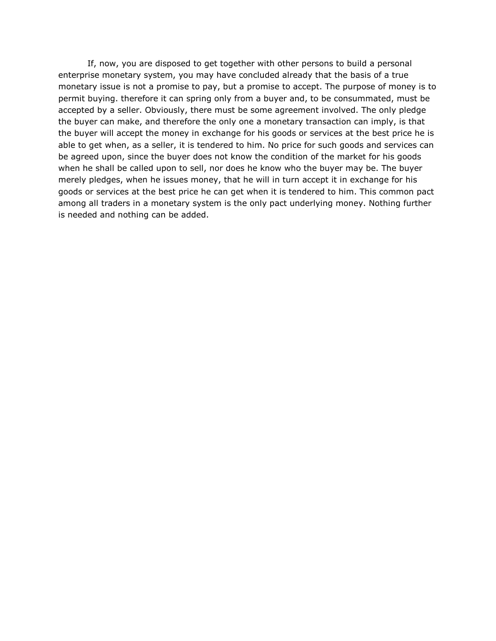If, now, you are disposed to get together with other persons to build a personal enterprise monetary system, you may have concluded already that the basis of a true monetary issue is not a promise to pay, but a promise to accept. The purpose of money is to permit buying. therefore it can spring only from a buyer and, to be consummated, must be accepted by a seller. Obviously, there must be some agreement involved. The only pledge the buyer can make, and therefore the only one a monetary transaction can imply, is that the buyer will accept the money in exchange for his goods or services at the best price he is able to get when, as a seller, it is tendered to him. No price for such goods and services can be agreed upon, since the buyer does not know the condition of the market for his goods when he shall be called upon to sell, nor does he know who the buyer may be. The buyer merely pledges, when he issues money, that he will in turn accept it in exchange for his goods or services at the best price he can get when it is tendered to him. This common pact among all traders in a monetary system is the only pact underlying money. Nothing further is needed and nothing can be added.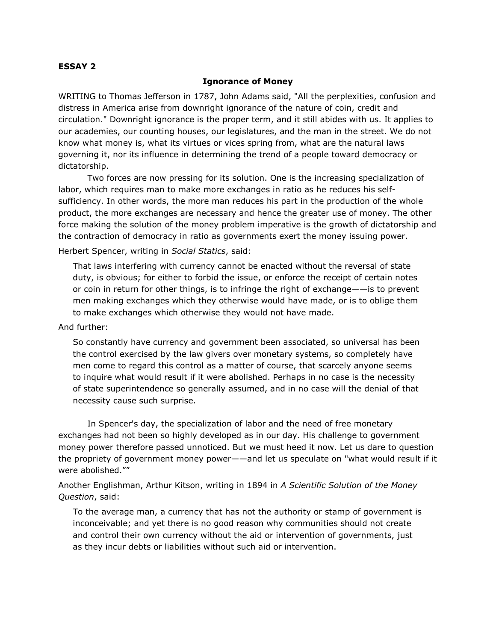### Ignorance of Money

WRITING to Thomas Jefferson in 1787, John Adams said, "All the perplexities, confusion and distress in America arise from downright ignorance of the nature of coin, credit and circulation." Downright ignorance is the proper term, and it still abides with us. It applies to our academies, our counting houses, our legislatures, and the man in the street. We do not know what money is, what its virtues or vices spring from, what are the natural laws governing it, nor its influence in determining the trend of a people toward democracy or dictatorship.

Two forces are now pressing for its solution. One is the increasing specialization of labor, which requires man to make more exchanges in ratio as he reduces his selfsufficiency. In other words, the more man reduces his part in the production of the whole product, the more exchanges are necessary and hence the greater use of money. The other force making the solution of the money problem imperative is the growth of dictatorship and the contraction of democracy in ratio as governments exert the money issuing power.

Herbert Spencer, writing in Social Statics, said:

That laws interfering with currency cannot be enacted without the reversal of state duty, is obvious; for either to forbid the issue, or enforce the receipt of certain notes or coin in return for other things, is to infringe the right of exchange——is to prevent men making exchanges which they otherwise would have made, or is to oblige them to make exchanges which otherwise they would not have made.

### And further:

So constantly have currency and government been associated, so universal has been the control exercised by the law givers over monetary systems, so completely have men come to regard this control as a matter of course, that scarcely anyone seems to inquire what would result if it were abolished. Perhaps in no case is the necessity of state superintendence so generally assumed, and in no case will the denial of that necessity cause such surprise.

In Spencer's day, the specialization of labor and the need of free monetary exchanges had not been so highly developed as in our day. His challenge to government money power therefore passed unnoticed. But we must heed it now. Let us dare to question the propriety of government money power——and let us speculate on "what would result if it were abolished.""

Another Englishman, Arthur Kitson, writing in 1894 in A Scientific Solution of the Money Question, said:

To the average man, a currency that has not the authority or stamp of government is inconceivable; and yet there is no good reason why communities should not create and control their own currency without the aid or intervention of governments, just as they incur debts or liabilities without such aid or intervention.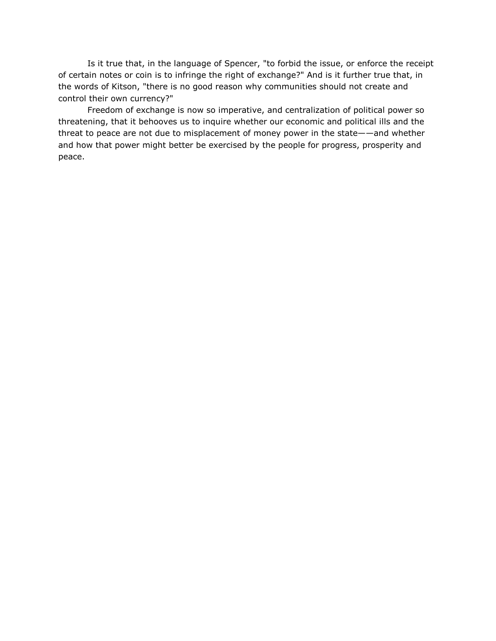Is it true that, in the language of Spencer, "to forbid the issue, or enforce the receipt of certain notes or coin is to infringe the right of exchange?" And is it further true that, in the words of Kitson, "there is no good reason why communities should not create and control their own currency?"

Freedom of exchange is now so imperative, and centralization of political power so threatening, that it behooves us to inquire whether our economic and political ills and the threat to peace are not due to misplacement of money power in the state——and whether and how that power might better be exercised by the people for progress, prosperity and peace.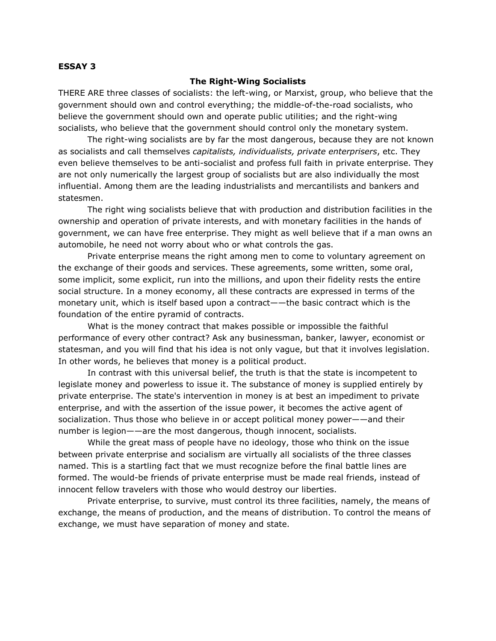### The Right-Wing Socialists

THERE ARE three classes of socialists: the left-wing, or Marxist, group, who believe that the government should own and control everything; the middle-of-the-road socialists, who believe the government should own and operate public utilities; and the right-wing socialists, who believe that the government should control only the monetary system.

The right-wing socialists are by far the most dangerous, because they are not known as socialists and call themselves *capitalists, individualists, private enterprisers*, etc. They even believe themselves to be anti-socialist and profess full faith in private enterprise. They are not only numerically the largest group of socialists but are also individually the most influential. Among them are the leading industrialists and mercantilists and bankers and statesmen.

The right wing socialists believe that with production and distribution facilities in the ownership and operation of private interests, and with monetary facilities in the hands of government, we can have free enterprise. They might as well believe that if a man owns an automobile, he need not worry about who or what controls the gas.

Private enterprise means the right among men to come to voluntary agreement on the exchange of their goods and services. These agreements, some written, some oral, some implicit, some explicit, run into the millions, and upon their fidelity rests the entire social structure. In a money economy, all these contracts are expressed in terms of the monetary unit, which is itself based upon a contract——the basic contract which is the foundation of the entire pyramid of contracts.

What is the money contract that makes possible or impossible the faithful performance of every other contract? Ask any businessman, banker, lawyer, economist or statesman, and you will find that his idea is not only vague, but that it involves legislation. In other words, he believes that money is a political product.

In contrast with this universal belief, the truth is that the state is incompetent to legislate money and powerless to issue it. The substance of money is supplied entirely by private enterprise. The state's intervention in money is at best an impediment to private enterprise, and with the assertion of the issue power, it becomes the active agent of socialization. Thus those who believe in or accept political money power——and their number is legion——are the most dangerous, though innocent, socialists.

While the great mass of people have no ideology, those who think on the issue between private enterprise and socialism are virtually all socialists of the three classes named. This is a startling fact that we must recognize before the final battle lines are formed. The would-be friends of private enterprise must be made real friends, instead of innocent fellow travelers with those who would destroy our liberties.

Private enterprise, to survive, must control its three facilities, namely, the means of exchange, the means of production, and the means of distribution. To control the means of exchange, we must have separation of money and state.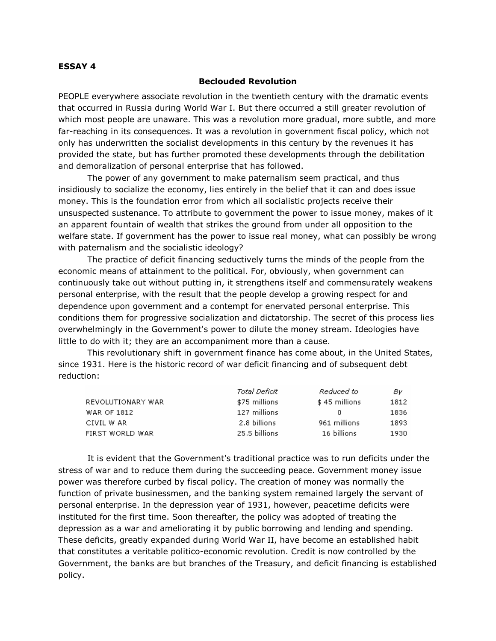### Beclouded Revolution

PEOPLE everywhere associate revolution in the twentieth century with the dramatic events that occurred in Russia during World War I. But there occurred a still greater revolution of which most people are unaware. This was a revolution more gradual, more subtle, and more far-reaching in its consequences. It was a revolution in government fiscal policy, which not only has underwritten the socialist developments in this century by the revenues it has provided the state, but has further promoted these developments through the debilitation and demoralization of personal enterprise that has followed.

The power of any government to make paternalism seem practical, and thus insidiously to socialize the economy, lies entirely in the belief that it can and does issue money. This is the foundation error from which all socialistic projects receive their unsuspected sustenance. To attribute to government the power to issue money, makes of it an apparent fountain of wealth that strikes the ground from under all opposition to the welfare state. If government has the power to issue real money, what can possibly be wrong with paternalism and the socialistic ideology?

The practice of deficit financing seductively turns the minds of the people from the economic means of attainment to the political. For, obviously, when government can continuously take out without putting in, it strengthens itself and commensurately weakens personal enterprise, with the result that the people develop a growing respect for and dependence upon government and a contempt for enervated personal enterprise. This conditions them for progressive socialization and dictatorship. The secret of this process lies overwhelmingly in the Government's power to dilute the money stream. Ideologies have little to do with it; they are an accompaniment more than a cause.

This revolutionary shift in government finance has come about, in the United States, since 1931. Here is the historic record of war deficit financing and of subsequent debt reduction:

|                    | Total Deficit | Reduced to     | Βγ   |
|--------------------|---------------|----------------|------|
| REVOLUTIONARY WAR  | \$75 millions | $$45$ millions | 1812 |
| <b>WAR OF 1812</b> | 127 millions  | п              | 1836 |
| CIVIL W AR         | 2.8 billions  | 961 millions   | 1893 |
| FIRST WORLD WAR    | 25.5 billions | 16 billions    | 1930 |

It is evident that the Government's traditional practice was to run deficits under the stress of war and to reduce them during the succeeding peace. Government money issue power was therefore curbed by fiscal policy. The creation of money was normally the function of private businessmen, and the banking system remained largely the servant of personal enterprise. In the depression year of 1931, however, peacetime deficits were instituted for the first time. Soon thereafter, the policy was adopted of treating the depression as a war and ameliorating it by public borrowing and lending and spending. These deficits, greatly expanded during World War II, have become an established habit that constitutes a veritable politico-economic revolution. Credit is now controlled by the Government, the banks are but branches of the Treasury, and deficit financing is established policy.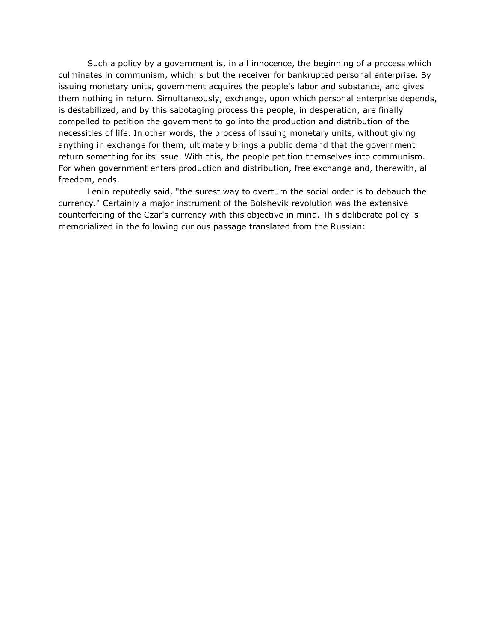Such a policy by a government is, in all innocence, the beginning of a process which culminates in communism, which is but the receiver for bankrupted personal enterprise. By issuing monetary units, government acquires the people's labor and substance, and gives them nothing in return. Simultaneously, exchange, upon which personal enterprise depends, is destabilized, and by this sabotaging process the people, in desperation, are finally compelled to petition the government to go into the production and distribution of the necessities of life. In other words, the process of issuing monetary units, without giving anything in exchange for them, ultimately brings a public demand that the government return something for its issue. With this, the people petition themselves into communism. For when government enters production and distribution, free exchange and, therewith, all freedom, ends.

Lenin reputedly said, "the surest way to overturn the social order is to debauch the currency." Certainly a major instrument of the Bolshevik revolution was the extensive counterfeiting of the Czar's currency with this objective in mind. This deliberate policy is memorialized in the following curious passage translated from the Russian: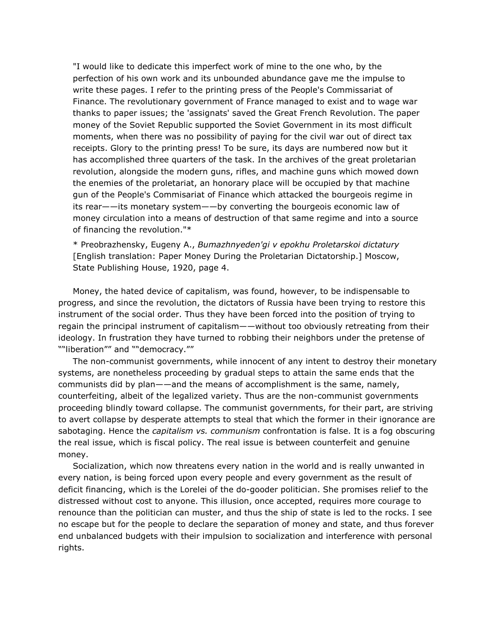"I would like to dedicate this imperfect work of mine to the one who, by the perfection of his own work and its unbounded abundance gave me the impulse to write these pages. I refer to the printing press of the People's Commissariat of Finance. The revolutionary government of France managed to exist and to wage war thanks to paper issues; the 'assignats' saved the Great French Revolution. The paper money of the Soviet Republic supported the Soviet Government in its most difficult moments, when there was no possibility of paying for the civil war out of direct tax receipts. Glory to the printing press! To be sure, its days are numbered now but it has accomplished three quarters of the task. In the archives of the great proletarian revolution, alongside the modern guns, rifles, and machine guns which mowed down the enemies of the proletariat, an honorary place will be occupied by that machine gun of the People's Commisariat of Finance which attacked the bourgeois regime in its rear——its monetary system——by converting the bourgeois economic law of money circulation into a means of destruction of that same regime and into a source of financing the revolution."\*

\* Preobrazhensky, Eugeny A., Bumazhnyeden'gi v epokhu Proletarskoi dictatury [English translation: Paper Money During the Proletarian Dictatorship.] Moscow, State Publishing House, 1920, page 4.

Money, the hated device of capitalism, was found, however, to be indispensable to progress, and since the revolution, the dictators of Russia have been trying to restore this instrument of the social order. Thus they have been forced into the position of trying to regain the principal instrument of capitalism——without too obviously retreating from their ideology. In frustration they have turned to robbing their neighbors under the pretense of ""liberation"" and ""democracy.""

The non-communist governments, while innocent of any intent to destroy their monetary systems, are nonetheless proceeding by gradual steps to attain the same ends that the communists did by plan——and the means of accomplishment is the same, namely, counterfeiting, albeit of the legalized variety. Thus are the non-communist governments proceeding blindly toward collapse. The communist governments, for their part, are striving to avert collapse by desperate attempts to steal that which the former in their ignorance are sabotaging. Hence the *capitalism vs. communism* confrontation is false. It is a fog obscuring the real issue, which is fiscal policy. The real issue is between counterfeit and genuine money.

Socialization, which now threatens every nation in the world and is really unwanted in every nation, is being forced upon every people and every government as the result of deficit financing, which is the Lorelei of the do-gooder politician. She promises relief to the distressed without cost to anyone. This illusion, once accepted, requires more courage to renounce than the politician can muster, and thus the ship of state is led to the rocks. I see no escape but for the people to declare the separation of money and state, and thus forever end unbalanced budgets with their impulsion to socialization and interference with personal rights.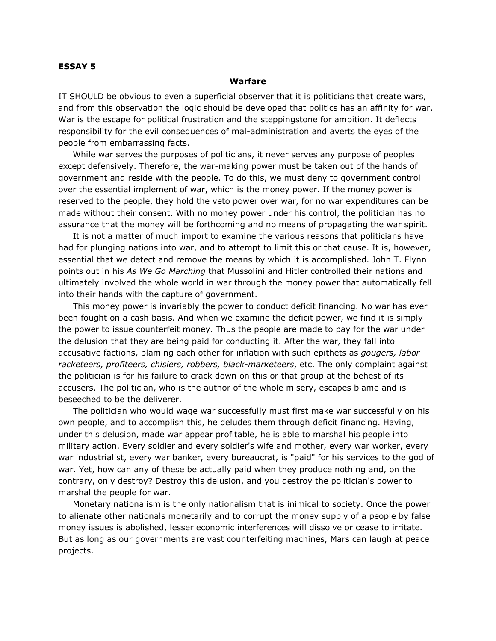#### Warfare

IT SHOULD be obvious to even a superficial observer that it is politicians that create wars, and from this observation the logic should be developed that politics has an affinity for war. War is the escape for political frustration and the steppingstone for ambition. It deflects responsibility for the evil consequences of mal-administration and averts the eyes of the people from embarrassing facts.

While war serves the purposes of politicians, it never serves any purpose of peoples except defensively. Therefore, the war-making power must be taken out of the hands of government and reside with the people. To do this, we must deny to government control over the essential implement of war, which is the money power. If the money power is reserved to the people, they hold the veto power over war, for no war expenditures can be made without their consent. With no money power under his control, the politician has no assurance that the money will be forthcoming and no means of propagating the war spirit.

It is not a matter of much import to examine the various reasons that politicians have had for plunging nations into war, and to attempt to limit this or that cause. It is, however, essential that we detect and remove the means by which it is accomplished. John T. Flynn points out in his As We Go Marching that Mussolini and Hitler controlled their nations and ultimately involved the whole world in war through the money power that automatically fell into their hands with the capture of government.

This money power is invariably the power to conduct deficit financing. No war has ever been fought on a cash basis. And when we examine the deficit power, we find it is simply the power to issue counterfeit money. Thus the people are made to pay for the war under the delusion that they are being paid for conducting it. After the war, they fall into accusative factions, blaming each other for inflation with such epithets as *gougers, labor* racketeers, profiteers, chislers, robbers, black-marketeers, etc. The only complaint against the politician is for his failure to crack down on this or that group at the behest of its accusers. The politician, who is the author of the whole misery, escapes blame and is beseeched to be the deliverer.

The politician who would wage war successfully must first make war successfully on his own people, and to accomplish this, he deludes them through deficit financing. Having, under this delusion, made war appear profitable, he is able to marshal his people into military action. Every soldier and every soldier's wife and mother, every war worker, every war industrialist, every war banker, every bureaucrat, is "paid" for his services to the god of war. Yet, how can any of these be actually paid when they produce nothing and, on the contrary, only destroy? Destroy this delusion, and you destroy the politician's power to marshal the people for war.

Monetary nationalism is the only nationalism that is inimical to society. Once the power to alienate other nationals monetarily and to corrupt the money supply of a people by false money issues is abolished, lesser economic interferences will dissolve or cease to irritate. But as long as our governments are vast counterfeiting machines, Mars can laugh at peace projects.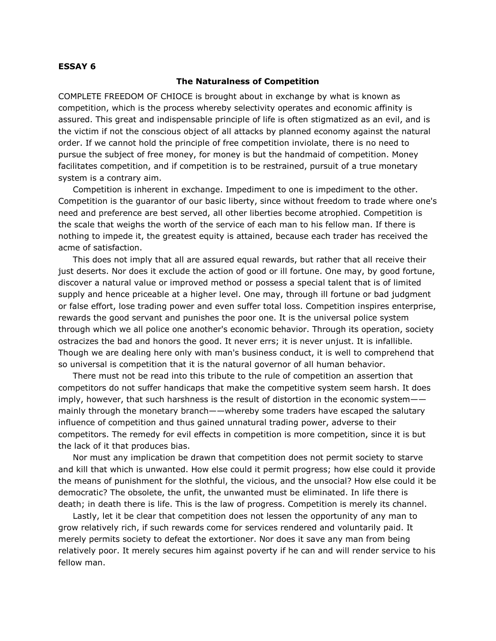#### The Naturalness of Competition

COMPLETE FREEDOM OF CHIOCE is brought about in exchange by what is known as competition, which is the process whereby selectivity operates and economic affinity is assured. This great and indispensable principle of life is often stigmatized as an evil, and is the victim if not the conscious object of all attacks by planned economy against the natural order. If we cannot hold the principle of free competition inviolate, there is no need to pursue the subject of free money, for money is but the handmaid of competition. Money facilitates competition, and if competition is to be restrained, pursuit of a true monetary system is a contrary aim.

Competition is inherent in exchange. Impediment to one is impediment to the other. Competition is the guarantor of our basic liberty, since without freedom to trade where one's need and preference are best served, all other liberties become atrophied. Competition is the scale that weighs the worth of the service of each man to his fellow man. If there is nothing to impede it, the greatest equity is attained, because each trader has received the acme of satisfaction.

This does not imply that all are assured equal rewards, but rather that all receive their just deserts. Nor does it exclude the action of good or ill fortune. One may, by good fortune, discover a natural value or improved method or possess a special talent that is of limited supply and hence priceable at a higher level. One may, through ill fortune or bad judgment or false effort, lose trading power and even suffer total loss. Competition inspires enterprise, rewards the good servant and punishes the poor one. It is the universal police system through which we all police one another's economic behavior. Through its operation, society ostracizes the bad and honors the good. It never errs; it is never unjust. It is infallible. Though we are dealing here only with man's business conduct, it is well to comprehend that so universal is competition that it is the natural governor of all human behavior.

There must not be read into this tribute to the rule of competition an assertion that competitors do not suffer handicaps that make the competitive system seem harsh. It does imply, however, that such harshness is the result of distortion in the economic system— mainly through the monetary branch——whereby some traders have escaped the salutary influence of competition and thus gained unnatural trading power, adverse to their competitors. The remedy for evil effects in competition is more competition, since it is but the lack of it that produces bias.

Nor must any implication be drawn that competition does not permit society to starve and kill that which is unwanted. How else could it permit progress; how else could it provide the means of punishment for the slothful, the vicious, and the unsocial? How else could it be democratic? The obsolete, the unfit, the unwanted must be eliminated. In life there is death; in death there is life. This is the law of progress. Competition is merely its channel.

Lastly, let it be clear that competition does not lessen the opportunity of any man to grow relatively rich, if such rewards come for services rendered and voluntarily paid. It merely permits society to defeat the extortioner. Nor does it save any man from being relatively poor. It merely secures him against poverty if he can and will render service to his fellow man.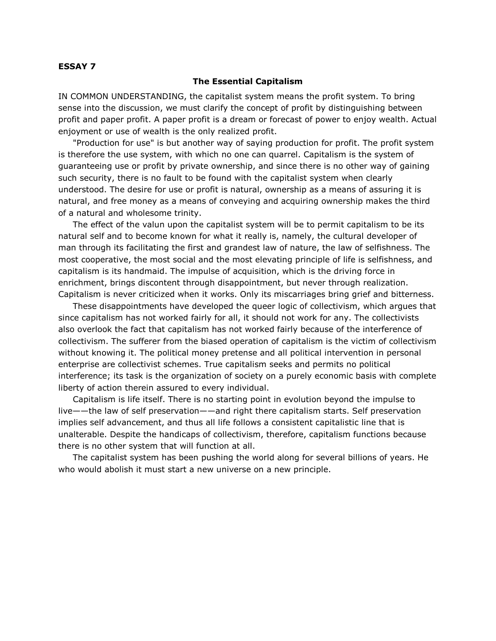### The Essential Capitalism

IN COMMON UNDERSTANDING, the capitalist system means the profit system. To bring sense into the discussion, we must clarify the concept of profit by distinguishing between profit and paper profit. A paper profit is a dream or forecast of power to enjoy wealth. Actual enjoyment or use of wealth is the only realized profit.

"Production for use" is but another way of saying production for profit. The profit system is therefore the use system, with which no one can quarrel. Capitalism is the system of guaranteeing use or profit by private ownership, and since there is no other way of gaining such security, there is no fault to be found with the capitalist system when clearly understood. The desire for use or profit is natural, ownership as a means of assuring it is natural, and free money as a means of conveying and acquiring ownership makes the third of a natural and wholesome trinity.

The effect of the valun upon the capitalist system will be to permit capitalism to be its natural self and to become known for what it really is, namely, the cultural developer of man through its facilitating the first and grandest law of nature, the law of selfishness. The most cooperative, the most social and the most elevating principle of life is selfishness, and capitalism is its handmaid. The impulse of acquisition, which is the driving force in enrichment, brings discontent through disappointment, but never through realization. Capitalism is never criticized when it works. Only its miscarriages bring grief and bitterness.

These disappointments have developed the queer logic of collectivism, which argues that since capitalism has not worked fairly for all, it should not work for any. The collectivists also overlook the fact that capitalism has not worked fairly because of the interference of collectivism. The sufferer from the biased operation of capitalism is the victim of collectivism without knowing it. The political money pretense and all political intervention in personal enterprise are collectivist schemes. True capitalism seeks and permits no political interference; its task is the organization of society on a purely economic basis with complete liberty of action therein assured to every individual.

Capitalism is life itself. There is no starting point in evolution beyond the impulse to live——the law of self preservation——and right there capitalism starts. Self preservation implies self advancement, and thus all life follows a consistent capitalistic line that is unalterable. Despite the handicaps of collectivism, therefore, capitalism functions because there is no other system that will function at all.

The capitalist system has been pushing the world along for several billions of years. He who would abolish it must start a new universe on a new principle.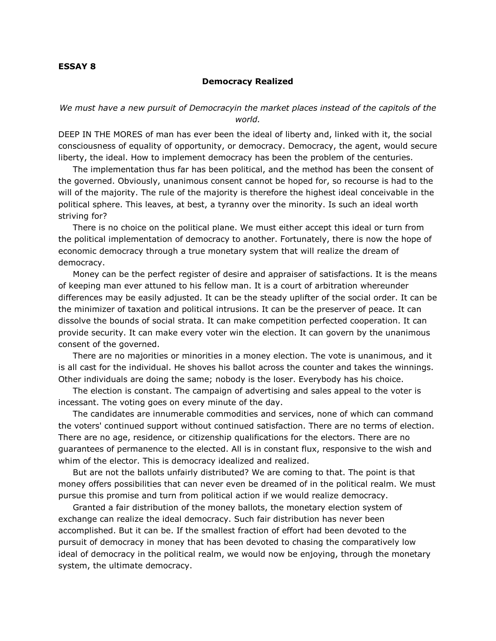#### Democracy Realized

## We must have a new pursuit of Democracyin the market places instead of the capitols of the world.

DEEP IN THE MORES of man has ever been the ideal of liberty and, linked with it, the social consciousness of equality of opportunity, or democracy. Democracy, the agent, would secure liberty, the ideal. How to implement democracy has been the problem of the centuries.

The implementation thus far has been political, and the method has been the consent of the governed. Obviously, unanimous consent cannot be hoped for, so recourse is had to the will of the majority. The rule of the majority is therefore the highest ideal conceivable in the political sphere. This leaves, at best, a tyranny over the minority. Is such an ideal worth striving for?

There is no choice on the political plane. We must either accept this ideal or turn from the political implementation of democracy to another. Fortunately, there is now the hope of economic democracy through a true monetary system that will realize the dream of democracy.

Money can be the perfect register of desire and appraiser of satisfactions. It is the means of keeping man ever attuned to his fellow man. It is a court of arbitration whereunder differences may be easily adjusted. It can be the steady uplifter of the social order. It can be the minimizer of taxation and political intrusions. It can be the preserver of peace. It can dissolve the bounds of social strata. It can make competition perfected cooperation. It can provide security. It can make every voter win the election. It can govern by the unanimous consent of the governed.

There are no majorities or minorities in a money election. The vote is unanimous, and it is all cast for the individual. He shoves his ballot across the counter and takes the winnings. Other individuals are doing the same; nobody is the loser. Everybody has his choice.

The election is constant. The campaign of advertising and sales appeal to the voter is incessant. The voting goes on every minute of the day.

The candidates are innumerable commodities and services, none of which can command the voters' continued support without continued satisfaction. There are no terms of election. There are no age, residence, or citizenship qualifications for the electors. There are no guarantees of permanence to the elected. All is in constant flux, responsive to the wish and whim of the elector. This is democracy idealized and realized.

But are not the ballots unfairly distributed? We are coming to that. The point is that money offers possibilities that can never even be dreamed of in the political realm. We must pursue this promise and turn from political action if we would realize democracy.

Granted a fair distribution of the money ballots, the monetary election system of exchange can realize the ideal democracy. Such fair distribution has never been accomplished. But it can be. If the smallest fraction of effort had been devoted to the pursuit of democracy in money that has been devoted to chasing the comparatively low ideal of democracy in the political realm, we would now be enjoying, through the monetary system, the ultimate democracy.